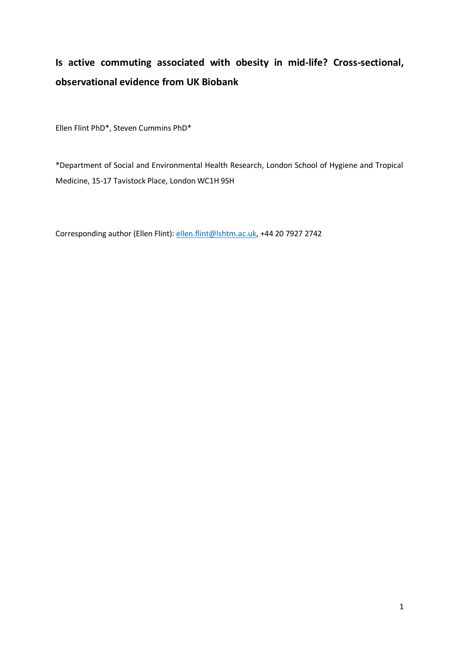# **Is active commuting associated with obesity in mid-life? Cross-sectional, observational evidence from UK Biobank**

Ellen Flint PhD\*, Steven Cummins PhD\*

\*Department of Social and Environmental Health Research, London School of Hygiene and Tropical Medicine, 15-17 Tavistock Place, London WC1H 9SH

Corresponding author (Ellen Flint)[: ellen.flint@lshtm.ac.uk,](mailto:ellen.flint@lshtm.ac.uk) +44 20 7927 2742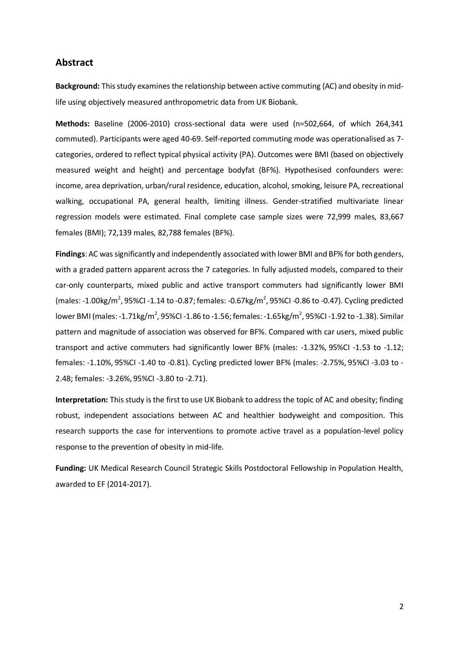### **Abstract**

**Background:** This study examines the relationship between active commuting (AC) and obesity in midlife using objectively measured anthropometric data from UK Biobank.

**Methods:** Baseline (2006-2010) cross-sectional data were used (n=502,664, of which 264,341 commuted). Participants were aged 40-69. Self-reported commuting mode was operationalised as 7 categories, ordered to reflect typical physical activity (PA). Outcomes were BMI (based on objectively measured weight and height) and percentage bodyfat (BF%). Hypothesised confounders were: income, area deprivation, urban/rural residence, education, alcohol, smoking, leisure PA, recreational walking, occupational PA, general health, limiting illness. Gender-stratified multivariate linear regression models were estimated. Final complete case sample sizes were 72,999 males, 83,667 females (BMI); 72,139 males, 82,788 females (BF%).

**Findings**: AC was significantly and independently associated with lower BMI and BF% for both genders, with a graded pattern apparent across the 7 categories. In fully adjusted models, compared to their car-only counterparts, mixed public and active transport commuters had significantly lower BMI  $(males: -1.00 kg/m<sup>2</sup>, 95%Cl -1.14 to -0.87; females: -0.67 kg/m<sup>2</sup>, 95%Cl -0.86 to -0.47). Cycling predicted$ lower BMI (males: -1.71kg/m<sup>2</sup>, 95%CI -1.86 to -1.56; females: -1.65kg/m<sup>2</sup>, 95%CI -1.92 to -1.38). Similar pattern and magnitude of association was observed for BF%. Compared with car users, mixed public transport and active commuters had significantly lower BF% (males: -1.32%, 95%CI -1.53 to -1.12; females: -1.10%, 95%CI -1.40 to -0.81). Cycling predicted lower BF% (males: -2.75%, 95%CI -3.03 to - 2.48; females: -3.26%, 95%CI -3.80 to -2.71).

**Interpretation:** This study is the first to use UK Biobank to address the topic of AC and obesity; finding robust, independent associations between AC and healthier bodyweight and composition. This research supports the case for interventions to promote active travel as a population-level policy response to the prevention of obesity in mid-life.

**Funding:** UK Medical Research Council Strategic Skills Postdoctoral Fellowship in Population Health, awarded to EF (2014-2017).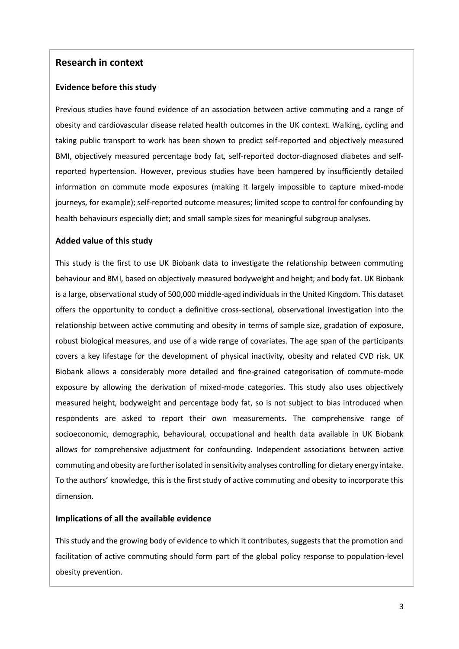# **Research in context**

### **Evidence before this study**

Previous studies have found evidence of an association between active commuting and a range of obesity and cardiovascular disease related health outcomes in the UK context. Walking, cycling and taking public transport to work has been shown to predict self-reported and objectively measured BMI, objectively measured percentage body fat, self-reported doctor-diagnosed diabetes and selfreported hypertension. However, previous studies have been hampered by insufficiently detailed information on commute mode exposures (making it largely impossible to capture mixed-mode journeys, for example); self-reported outcome measures; limited scope to control for confounding by health behaviours especially diet; and small sample sizes for meaningful subgroup analyses.

### **Added value of this study**

This study is the first to use UK Biobank data to investigate the relationship between commuting behaviour and BMI, based on objectively measured bodyweight and height; and body fat. UK Biobank is a large, observational study of 500,000 middle-aged individuals in the United Kingdom. This dataset offers the opportunity to conduct a definitive cross-sectional, observational investigation into the relationship between active commuting and obesity in terms of sample size, gradation of exposure, robust biological measures, and use of a wide range of covariates. The age span of the participants covers a key lifestage for the development of physical inactivity, obesity and related CVD risk. UK Biobank allows a considerably more detailed and fine-grained categorisation of commute-mode exposure by allowing the derivation of mixed-mode categories. This study also uses objectively measured height, bodyweight and percentage body fat, so is not subject to bias introduced when respondents are asked to report their own measurements. The comprehensive range of socioeconomic, demographic, behavioural, occupational and health data available in UK Biobank allows for comprehensive adjustment for confounding. Independent associations between active commuting and obesity are further isolated in sensitivity analyses controlling for dietary energy intake. To the authors' knowledge, this is the first study of active commuting and obesity to incorporate this dimension.

### **Implications of all the available evidence**

This study and the growing body of evidence to which it contributes, suggests that the promotion and facilitation of active commuting should form part of the global policy response to population-level obesity prevention.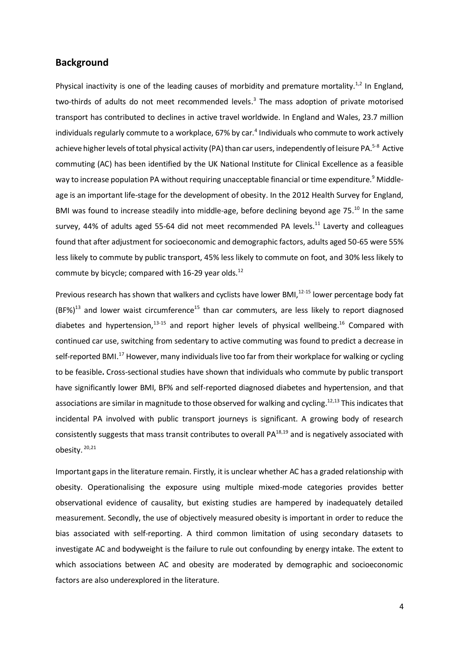### **Background**

Physical inactivity is one of the leading causes of morbidity and premature mortality.<sup>1,2</sup> In England, two-thirds of adults do not meet recommended levels. 3 The mass adoption of private motorised transport has contributed to declines in active travel worldwide. In England and Wales, 23.7 million individuals regularly commute to a workplace, 67% by car. $^4$  Individuals who commute to work actively achieve higher levels of total physical activity (PA) than car users, independently of leisure PA.<sup>5-8</sup> Active commuting (AC) has been identified by the UK National Institute for Clinical Excellence as a feasible way to increase population PA without requiring unacceptable financial or time expenditure.<sup>9</sup> Middleage is an important life-stage for the development of obesity. In the 2012 Health Survey for England, BMI was found to increase steadily into middle-age, before declining beyond age 75.<sup>10</sup> In the same survey, 44% of adults aged 55-64 did not meet recommended PA levels.<sup>11</sup> Laverty and colleagues found that after adjustment for socioeconomic and demographic factors, adults aged 50-65 were 55% less likely to commute by public transport, 45% less likely to commute on foot, and 30% less likely to commute by bicycle; compared with  $16-29$  year olds.<sup>12</sup>

Previous research has shown that walkers and cyclists have lower BMI,<sup>12-15</sup> lower percentage body fat  $(BF%)^{13}$  and lower waist circumference<sup>15</sup> than car commuters, are less likely to report diagnosed diabetes and hypertension,<sup>13-15</sup> and report higher levels of physical wellbeing.<sup>16</sup> Compared with continued car use, switching from sedentary to active commuting was found to predict a decrease in self-reported BMI.<sup>17</sup> However, many individuals live too far from their workplace for walking or cycling to be feasible**.** Cross-sectional studies have shown that individuals who commute by public transport have significantly lower BMI, BF% and self-reported diagnosed diabetes and hypertension, and that associations are similar in magnitude to those observed for walking and cycling.<sup>12,13</sup> This indicates that incidental PA involved with public transport journeys is significant. A growing body of research consistently suggests that mass transit contributes to overall PA<sup>18,19</sup> and is negatively associated with obesity. 20,21

Important gaps in the literature remain. Firstly, it is unclear whether AC has a graded relationship with obesity. Operationalising the exposure using multiple mixed-mode categories provides better observational evidence of causality, but existing studies are hampered by inadequately detailed measurement. Secondly, the use of objectively measured obesity is important in order to reduce the bias associated with self-reporting. A third common limitation of using secondary datasets to investigate AC and bodyweight is the failure to rule out confounding by energy intake. The extent to which associations between AC and obesity are moderated by demographic and socioeconomic factors are also underexplored in the literature.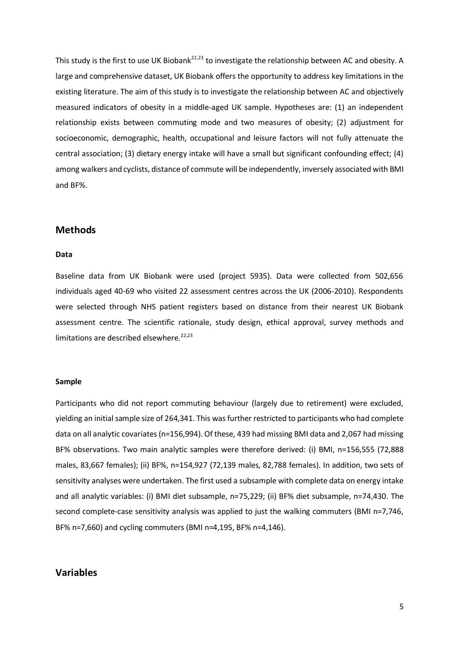This study is the first to use UK Biobank<sup>22,23</sup> to investigate the relationship between AC and obesity. A large and comprehensive dataset, UK Biobank offers the opportunity to address key limitations in the existing literature. The aim of this study is to investigate the relationship between AC and objectively measured indicators of obesity in a middle-aged UK sample. Hypotheses are: (1) an independent relationship exists between commuting mode and two measures of obesity; (2) adjustment for socioeconomic, demographic, health, occupational and leisure factors will not fully attenuate the central association; (3) dietary energy intake will have a small but significant confounding effect; (4) among walkers and cyclists, distance of commute will be independently, inversely associated with BMI and BF%.

### **Methods**

#### **Data**

Baseline data from UK Biobank were used (project 5935). Data were collected from 502,656 individuals aged 40-69 who visited 22 assessment centres across the UK (2006-2010). Respondents were selected through NHS patient registers based on distance from their nearest UK Biobank assessment centre. The scientific rationale, study design, ethical approval, survey methods and limitations are described elsewhere. $22,23$ 

#### **Sample**

Participants who did not report commuting behaviour (largely due to retirement) were excluded, yielding an initial sample size of 264,341. This was further restricted to participants who had complete data on all analytic covariates (n=156,994). Of these, 439 had missing BMI data and 2,067 had missing BF% observations. Two main analytic samples were therefore derived: (i) BMI, n=156,555 (72,888 males, 83,667 females); (ii) BF%, n=154,927 (72,139 males, 82,788 females). In addition, two sets of sensitivity analyses were undertaken. The first used a subsample with complete data on energy intake and all analytic variables: (i) BMI diet subsample, n=75,229; (ii) BF% diet subsample, n=74,430. The second complete-case sensitivity analysis was applied to just the walking commuters (BMI n=7,746, BF% n=7,660) and cycling commuters (BMI n=4,195, BF% n=4,146).

## **Variables**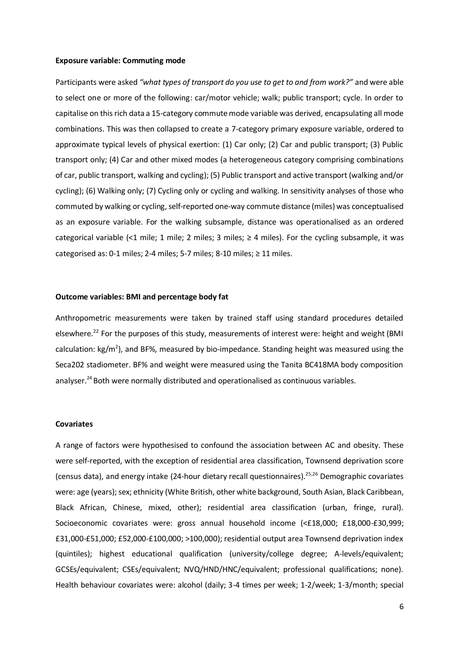#### **Exposure variable: Commuting mode**

Participants were asked *"what types of transport do you use to get to and from work?"* and were able to select one or more of the following: car/motor vehicle; walk; public transport; cycle. In order to capitalise on this rich data a 15-category commute mode variable was derived, encapsulating all mode combinations. This was then collapsed to create a 7-category primary exposure variable, ordered to approximate typical levels of physical exertion: (1) Car only; (2) Car and public transport; (3) Public transport only; (4) Car and other mixed modes (a heterogeneous category comprising combinations of car, public transport, walking and cycling); (5) Public transport and active transport (walking and/or cycling); (6) Walking only; (7) Cycling only or cycling and walking. In sensitivity analyses of those who commuted by walking or cycling, self-reported one-way commute distance (miles) was conceptualised as an exposure variable. For the walking subsample, distance was operationalised as an ordered categorical variable (<1 mile; 1 mile; 2 miles; 3 miles;  $\geq$  4 miles). For the cycling subsample, it was categorised as: 0-1 miles; 2-4 miles; 5-7 miles; 8-10 miles;  $\geq$  11 miles.

#### **Outcome variables: BMI and percentage body fat**

Anthropometric measurements were taken by trained staff using standard procedures detailed elsewhere.<sup>22</sup> For the purposes of this study, measurements of interest were: height and weight (BMI calculation:  $kg/m<sup>2</sup>$ ), and BF%, measured by bio-impedance. Standing height was measured using the Seca202 stadiometer. BF% and weight were measured using the Tanita BC418MA body composition analyser.<sup>24</sup> Both were normally distributed and operationalised as continuous variables.

#### **Covariates**

A range of factors were hypothesised to confound the association between AC and obesity. These were self-reported, with the exception of residential area classification, Townsend deprivation score (census data), and energy intake (24-hour dietary recall questionnaires). 25,26 Demographic covariates were: age (years); sex; ethnicity (White British, other white background, South Asian, Black Caribbean, Black African, Chinese, mixed, other); residential area classification (urban, fringe, rural). Socioeconomic covariates were: gross annual household income (<£18,000; £18,000-£30,999; £31,000-£51,000; £52,000-£100,000; >100,000); residential output area Townsend deprivation index (quintiles); highest educational qualification (university/college degree; A-levels/equivalent; GCSEs/equivalent; CSEs/equivalent; NVQ/HND/HNC/equivalent; professional qualifications; none). Health behaviour covariates were: alcohol (daily; 3-4 times per week; 1-2/week; 1-3/month; special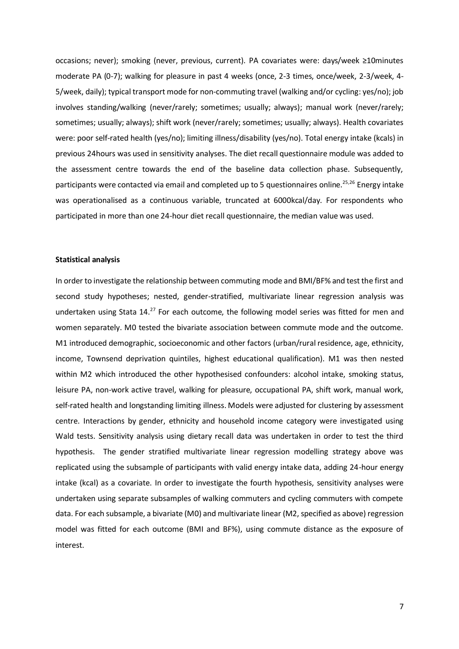occasions; never); smoking (never, previous, current). PA covariates were: days/week ≥10minutes moderate PA (0-7); walking for pleasure in past 4 weeks (once, 2-3 times, once/week, 2-3/week, 4- 5/week, daily); typical transport mode for non-commuting travel (walking and/or cycling: yes/no); job involves standing/walking (never/rarely; sometimes; usually; always); manual work (never/rarely; sometimes; usually; always); shift work (never/rarely; sometimes; usually; always). Health covariates were: poor self-rated health (yes/no); limiting illness/disability (yes/no). Total energy intake (kcals) in previous 24hours was used in sensitivity analyses. The diet recall questionnaire module was added to the assessment centre towards the end of the baseline data collection phase. Subsequently, participants were contacted via email and completed up to 5 questionnaires online. 25,26 Energy intake was operationalised as a continuous variable, truncated at 6000kcal/day. For respondents who participated in more than one 24-hour diet recall questionnaire, the median value was used.

#### **Statistical analysis**

In order to investigate the relationship between commuting mode and BMI/BF% and test the first and second study hypotheses; nested, gender-stratified, multivariate linear regression analysis was undertaken using Stata 14.<sup>27</sup> For each outcome, the following model series was fitted for men and women separately. M0 tested the bivariate association between commute mode and the outcome. M1 introduced demographic, socioeconomic and other factors (urban/rural residence, age, ethnicity, income, Townsend deprivation quintiles, highest educational qualification). M1 was then nested within M2 which introduced the other hypothesised confounders: alcohol intake, smoking status, leisure PA, non-work active travel, walking for pleasure, occupational PA, shift work, manual work, self-rated health and longstanding limiting illness. Models were adjusted for clustering by assessment centre. Interactions by gender, ethnicity and household income category were investigated using Wald tests. Sensitivity analysis using dietary recall data was undertaken in order to test the third hypothesis. The gender stratified multivariate linear regression modelling strategy above was replicated using the subsample of participants with valid energy intake data, adding 24-hour energy intake (kcal) as a covariate. In order to investigate the fourth hypothesis, sensitivity analyses were undertaken using separate subsamples of walking commuters and cycling commuters with compete data. For each subsample, a bivariate (M0) and multivariate linear (M2, specified as above) regression model was fitted for each outcome (BMI and BF%), using commute distance as the exposure of interest.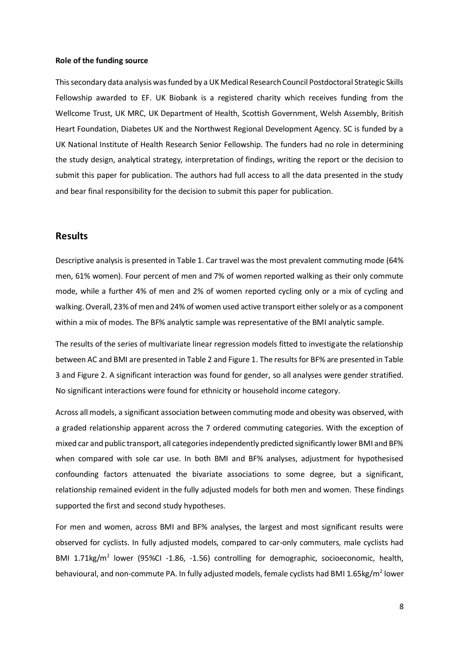#### **Role of the funding source**

This secondary data analysis was funded by a UK Medical Research Council Postdoctoral Strategic Skills Fellowship awarded to EF. UK Biobank is a registered charity which receives funding from the Wellcome Trust, UK MRC, UK Department of Health, Scottish Government, Welsh Assembly, British Heart Foundation, Diabetes UK and the Northwest Regional Development Agency. SC is funded by a UK National Institute of Health Research Senior Fellowship. The funders had no role in determining the study design, analytical strategy, interpretation of findings, writing the report or the decision to submit this paper for publication. The authors had full access to all the data presented in the study and bear final responsibility for the decision to submit this paper for publication.

### **Results**

Descriptive analysis is presented in Table 1. Car travel was the most prevalent commuting mode (64% men, 61% women). Four percent of men and 7% of women reported walking as their only commute mode, while a further 4% of men and 2% of women reported cycling only or a mix of cycling and walking. Overall, 23% of men and 24% of women used active transport either solely or as a component within a mix of modes. The BF% analytic sample was representative of the BMI analytic sample.

The results of the series of multivariate linear regression models fitted to investigate the relationship between AC and BMI are presented in Table 2 and Figure 1. The results for BF% are presented in Table 3 and Figure 2. A significant interaction was found for gender, so all analyses were gender stratified. No significant interactions were found for ethnicity or household income category.

Across all models, a significant association between commuting mode and obesity was observed, with a graded relationship apparent across the 7 ordered commuting categories. With the exception of mixed car and public transport, all categories independently predicted significantly lower BMI and BF% when compared with sole car use. In both BMI and BF% analyses, adjustment for hypothesised confounding factors attenuated the bivariate associations to some degree, but a significant, relationship remained evident in the fully adjusted models for both men and women. These findings supported the first and second study hypotheses.

For men and women, across BMI and BF% analyses, the largest and most significant results were observed for cyclists. In fully adjusted models, compared to car-only commuters, male cyclists had BMI 1.71kg/m<sup>2</sup> lower (95%CI -1.86, -1.56) controlling for demographic, socioeconomic, health, behavioural, and non-commute PA. In fully adjusted models, female cyclists had BMI 1.65kg/m<sup>2</sup> lower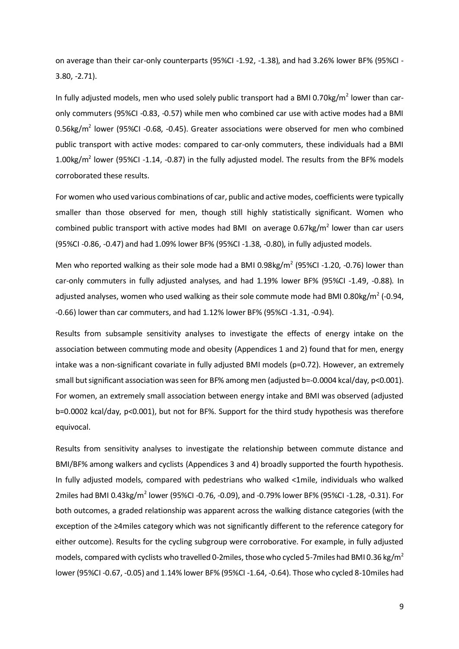on average than their car-only counterparts (95%CI -1.92, -1.38), and had 3.26% lower BF% (95%CI - 3.80, -2.71).

In fully adjusted models, men who used solely public transport had a BMI 0.70kg/m<sup>2</sup> lower than caronly commuters (95%CI -0.83, -0.57) while men who combined car use with active modes had a BMI 0.56kg/m<sup>2</sup> lower (95%CI -0.68, -0.45). Greater associations were observed for men who combined public transport with active modes: compared to car-only commuters, these individuals had a BMI 1.00kg/ $m^2$  lower (95%CI -1.14, -0.87) in the fully adjusted model. The results from the BF% models corroborated these results.

For women who used various combinations of car, public and active modes, coefficients were typically smaller than those observed for men, though still highly statistically significant. Women who combined public transport with active modes had BMI on average  $0.67$ kg/m<sup>2</sup> lower than car users (95%CI -0.86, -0.47) and had 1.09% lower BF% (95%CI -1.38, -0.80), in fully adjusted models.

Men who reported walking as their sole mode had a BMI 0.98kg/ $m^2$  (95%CI -1.20, -0.76) lower than car-only commuters in fully adjusted analyses, and had 1.19% lower BF% (95%CI -1.49, -0.88). In adjusted analyses, women who used walking as their sole commute mode had BMI 0.80kg/m<sup>2</sup> (-0.94, -0.66) lower than car commuters, and had 1.12% lower BF% (95%CI -1.31, -0.94).

Results from subsample sensitivity analyses to investigate the effects of energy intake on the association between commuting mode and obesity (Appendices 1 and 2) found that for men, energy intake was a non-significant covariate in fully adjusted BMI models (p=0.72). However, an extremely small but significant association was seen for BF% among men (adjusted b=-0.0004 kcal/day, p<0.001). For women, an extremely small association between energy intake and BMI was observed (adjusted b=0.0002 kcal/day, p<0.001), but not for BF%. Support for the third study hypothesis was therefore equivocal.

Results from sensitivity analyses to investigate the relationship between commute distance and BMI/BF% among walkers and cyclists (Appendices 3 and 4) broadly supported the fourth hypothesis. In fully adjusted models, compared with pedestrians who walked <1mile, individuals who walked 2miles had BMI 0.43kg/m<sup>2</sup> lower (95%CI -0.76, -0.09), and -0.79% lower BF% (95%CI -1.28, -0.31). For both outcomes, a graded relationship was apparent across the walking distance categories (with the exception of the ≥4miles category which was not significantly different to the reference category for either outcome). Results for the cycling subgroup were corroborative. For example, in fully adjusted models, compared with cyclists who travelled 0-2miles, those who cycled 5-7miles had BMI 0.36 kg/m<sup>2</sup> lower (95%CI -0.67, -0.05) and 1.14% lower BF% (95%CI -1.64, -0.64). Those who cycled 8-10miles had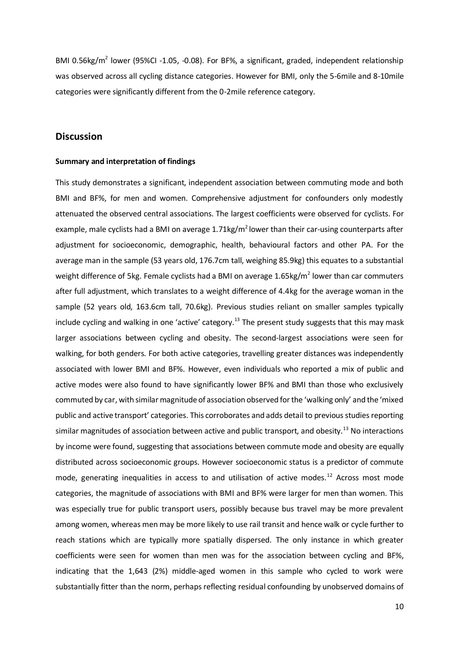BMI 0.56kg/m<sup>2</sup> lower (95%CI -1.05, -0.08). For BF%, a significant, graded, independent relationship was observed across all cycling distance categories. However for BMI, only the 5-6mile and 8-10mile categories were significantly different from the 0-2mile reference category.

### **Discussion**

#### **Summary and interpretation of findings**

This study demonstrates a significant, independent association between commuting mode and both BMI and BF%, for men and women. Comprehensive adjustment for confounders only modestly attenuated the observed central associations. The largest coefficients were observed for cyclists. For example, male cyclists had a BMI on average  $1.71 \text{kg/m}^2$  lower than their car-using counterparts after adjustment for socioeconomic, demographic, health, behavioural factors and other PA. For the average man in the sample (53 years old, 176.7cm tall, weighing 85.9kg) this equates to a substantial weight difference of 5kg. Female cyclists had a BMI on average 1.65kg/m<sup>2</sup> lower than car commuters after full adjustment, which translates to a weight difference of 4.4kg for the average woman in the sample (52 years old, 163.6cm tall, 70.6kg). Previous studies reliant on smaller samples typically include cycling and walking in one 'active' category.<sup>13</sup> The present study suggests that this may mask larger associations between cycling and obesity. The second-largest associations were seen for walking, for both genders. For both active categories, travelling greater distances was independently associated with lower BMI and BF%. However, even individuals who reported a mix of public and active modes were also found to have significantly lower BF% and BMI than those who exclusively commuted by car, with similar magnitude of association observed for the 'walking only' and the 'mixed public and active transport' categories. This corroborates and adds detail to previous studies reporting similar magnitudes of association between active and public transport, and obesity.<sup>13</sup> No interactions by income were found, suggesting that associations between commute mode and obesity are equally distributed across socioeconomic groups. However socioeconomic status is a predictor of commute mode, generating inequalities in access to and utilisation of active modes.<sup>12</sup> Across most mode categories, the magnitude of associations with BMI and BF% were larger for men than women. This was especially true for public transport users, possibly because bus travel may be more prevalent among women, whereas men may be more likely to use rail transit and hence walk or cycle further to reach stations which are typically more spatially dispersed. The only instance in which greater coefficients were seen for women than men was for the association between cycling and BF%, indicating that the 1,643 (2%) middle-aged women in this sample who cycled to work were substantially fitter than the norm, perhaps reflecting residual confounding by unobserved domains of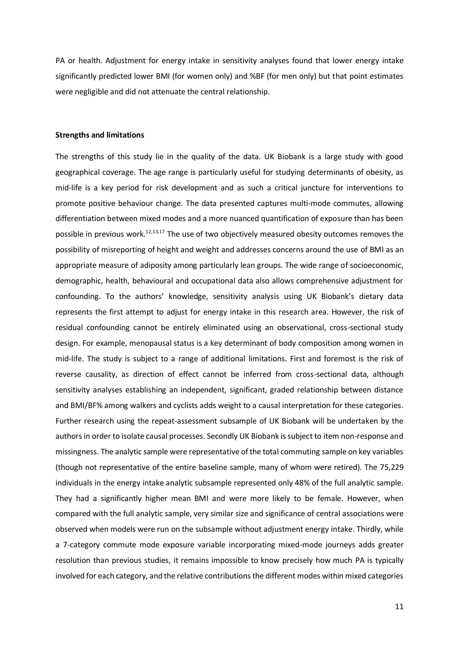PA or health. Adjustment for energy intake in sensitivity analyses found that lower energy intake significantly predicted lower BMI (for women only) and %BF (for men only) but that point estimates were negligible and did not attenuate the central relationship.

#### **Strengths and limitations**

The strengths of this study lie in the quality of the data. UK Biobank is a large study with good geographical coverage. The age range is particularly useful for studying determinants of obesity, as mid-life is a key period for risk development and as such a critical juncture for interventions to promote positive behaviour change. The data presented captures multi-mode commutes, allowing differentiation between mixed modes and a more nuanced quantification of exposure than has been possible in previous work.<sup>12,13,17</sup> The use of two objectively measured obesity outcomes removes the possibility of misreporting of height and weight and addresses concerns around the use of BMI as an appropriate measure of adiposity among particularly lean groups. The wide range of socioeconomic, demographic, health, behavioural and occupational data also allows comprehensive adjustment for confounding. To the authors' knowledge, sensitivity analysis using UK Biobank's dietary data represents the first attempt to adjust for energy intake in this research area. However, the risk of residual confounding cannot be entirely eliminated using an observational, cross-sectional study design. For example, menopausal status is a key determinant of body composition among women in mid-life. The study is subject to a range of additional limitations. First and foremost is the risk of reverse causality, as direction of effect cannot be inferred from cross-sectional data, although sensitivity analyses establishing an independent, significant, graded relationship between distance and BMI/BF% among walkers and cyclists adds weight to a causal interpretation for these categories. Further research using the repeat-assessment subsample of UK Biobank will be undertaken by the authors in order to isolate causal processes. Secondly UK Biobank is subject to item non-response and missingness. The analytic sample were representative of the total commuting sample on key variables (though not representative of the entire baseline sample, many of whom were retired). The 75,229 individuals in the energy intake analytic subsample represented only 48% of the full analytic sample. They had a significantly higher mean BMI and were more likely to be female. However, when compared with the full analytic sample, very similar size and significance of central associations were observed when models were run on the subsample without adjustment energy intake. Thirdly, while a 7-category commute mode exposure variable incorporating mixed-mode journeys adds greater resolution than previous studies, it remains impossible to know precisely how much PA is typically involved for each category, and the relative contributions the different modes within mixed categories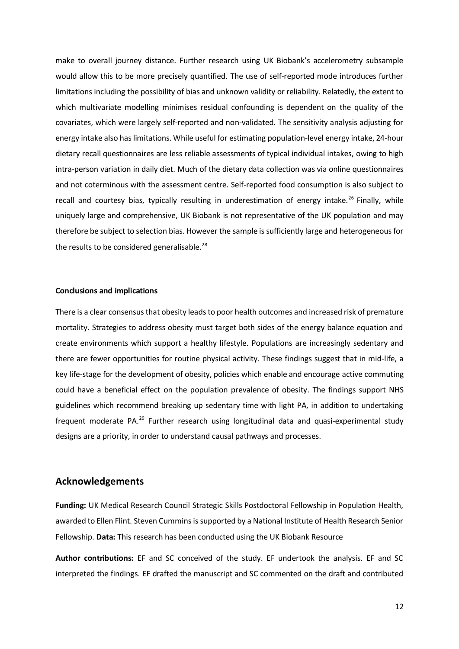make to overall journey distance. Further research using UK Biobank's accelerometry subsample would allow this to be more precisely quantified. The use of self-reported mode introduces further limitations including the possibility of bias and unknown validity or reliability. Relatedly, the extent to which multivariate modelling minimises residual confounding is dependent on the quality of the covariates, which were largely self-reported and non-validated. The sensitivity analysis adjusting for energy intake also has limitations. While useful for estimating population-level energy intake, 24-hour dietary recall questionnaires are less reliable assessments of typical individual intakes, owing to high intra-person variation in daily diet. Much of the dietary data collection was via online questionnaires and not coterminous with the assessment centre. Self-reported food consumption is also subject to recall and courtesy bias, typically resulting in underestimation of energy intake.<sup>26</sup> Finally, while uniquely large and comprehensive, UK Biobank is not representative of the UK population and may therefore be subject to selection bias. However the sample is sufficiently large and heterogeneous for the results to be considered generalisable. $^{28}$ 

#### **Conclusions and implications**

There is a clear consensus that obesity leads to poor health outcomes and increased risk of premature mortality. Strategies to address obesity must target both sides of the energy balance equation and create environments which support a healthy lifestyle. Populations are increasingly sedentary and there are fewer opportunities for routine physical activity. These findings suggest that in mid-life, a key life-stage for the development of obesity, policies which enable and encourage active commuting could have a beneficial effect on the population prevalence of obesity. The findings support NHS guidelines which recommend breaking up sedentary time with light PA, in addition to undertaking frequent moderate PA.<sup>29</sup> Further research using longitudinal data and quasi-experimental study designs are a priority, in order to understand causal pathways and processes.

### **Acknowledgements**

**Funding:** UK Medical Research Council Strategic Skills Postdoctoral Fellowship in Population Health, awarded to Ellen Flint. Steven Cummins is supported by a National Institute of Health Research Senior Fellowship. **Data:** This research has been conducted using the UK Biobank Resource

**Author contributions:** EF and SC conceived of the study. EF undertook the analysis. EF and SC interpreted the findings. EF drafted the manuscript and SC commented on the draft and contributed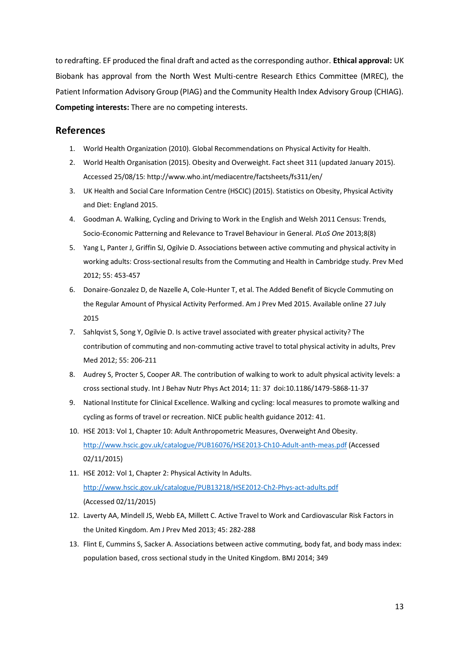to redrafting. EF produced the final draft and acted as the corresponding author. **Ethical approval:** UK Biobank has approval from the North West Multi-centre Research Ethics Committee (MREC), the Patient Information Advisory Group (PIAG) and the Community Health Index Advisory Group (CHIAG). **Competing interests:** There are no competing interests.

# **References**

- 1. World Health Organization (2010). Global Recommendations on Physical Activity for Health.
- 2. World Health Organisation (2015). Obesity and Overweight. Fact sheet 311 (updated January 2015). Accessed 25/08/15: http://www.who.int/mediacentre/factsheets/fs311/en/
- 3. UK Health and Social Care Information Centre (HSCIC) (2015). Statistics on Obesity, Physical Activity and Diet: England 2015.
- 4. Goodman A. Walking, Cycling and Driving to Work in the English and Welsh 2011 Census: Trends, Socio-Economic Patterning and Relevance to Travel Behaviour in General. *PLoS One* 2013;8(8)
- 5. Yang L, Panter J, Griffin SJ, Ogilvie D. Associations between active commuting and physical activity in working adults: Cross-sectional results from the Commuting and Health in Cambridge study. Prev Med 2012; 55: 453-457
- 6. Donaire-Gonzalez D, de Nazelle A, Cole-Hunter T, et al. The Added Benefit of Bicycle Commuting on the Regular Amount of Physical Activity Performed. Am J Prev Med 2015. Available online 27 July 2015
- 7. Sahlqvist S, Song Y, Ogilvie D. Is active travel associated with greater physical activity? The contribution of commuting and non-commuting active travel to total physical activity in adults, Prev Med 2012; 55: 206-211
- 8. Audrey S, Procter S, Cooper AR. The contribution of walking to work to adult physical activity levels: a cross sectional study. Int J Behav Nutr Phys Act 2014; 11: 37 doi:10.1186/1479-5868-11-37
- 9. National Institute for Clinical Excellence. Walking and cycling: local measures to promote walking and cycling as forms of travel or recreation. NICE public health guidance 2012: 41.
- 10. HSE 2013: Vol 1, Chapter 10: Adult Anthropometric Measures, Overweight And Obesity. <http://www.hscic.gov.uk/catalogue/PUB16076/HSE2013-Ch10-Adult-anth-meas.pdf> (Accessed 02/11/2015)
- 11. HSE 2012: Vol 1, Chapter 2: Physical Activity In Adults. <http://www.hscic.gov.uk/catalogue/PUB13218/HSE2012-Ch2-Phys-act-adults.pdf> (Accessed 02/11/2015)
- 12. Laverty AA, Mindell JS, Webb EA, Millett C. Active Travel to Work and Cardiovascular Risk Factors in the United Kingdom. Am J Prev Med 2013; 45: 282-288
- 13. Flint E, Cummins S, Sacker A. Associations between active commuting, body fat, and body mass index: population based, cross sectional study in the United Kingdom. BMJ 2014; 349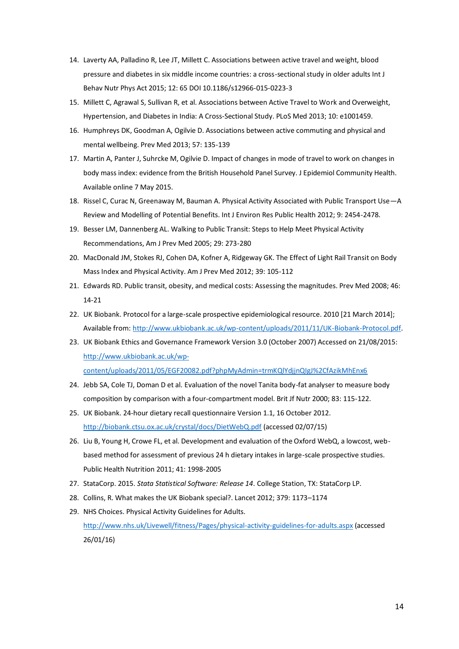- 14. Laverty AA, Palladino R, Lee JT, Millett C. Associations between active travel and weight, blood pressure and diabetes in six middle income countries: a cross-sectional study in older adults Int J Behav Nutr Phys Act 2015; 12: 65 DOI 10.1186/s12966-015-0223-3
- 15. Millett C, Agrawal S, Sullivan R, et al. Associations between Active Travel to Work and Overweight, Hypertension, and Diabetes in India: A Cross-Sectional Study. PLoS Med 2013; 10: e1001459.
- 16. Humphreys DK, Goodman A, Ogilvie D. Associations between active commuting and physical and mental wellbeing. Prev Med 2013; 57: 135-139
- 17. Martin A, Panter J, Suhrcke M, Ogilvie D. Impact of changes in mode of travel to work on changes in body mass index: evidence from the British Household Panel Survey. J Epidemiol Community Health. Available online 7 May 2015.
- 18. Rissel C, Curac N, Greenaway M, Bauman A. Physical Activity Associated with Public Transport Use—A Review and Modelling of Potential Benefits. Int J Environ Res Public Health 2012; 9: 2454-2478.
- 19. Besser LM, Dannenberg AL. Walking to Public Transit: Steps to Help Meet Physical Activity Recommendations, Am J Prev Med 2005; 29: 273-280
- 20. MacDonald JM, Stokes RJ, Cohen DA, Kofner A, Ridgeway GK. The Effect of Light Rail Transit on Body Mass Index and Physical Activity. Am J Prev Med 2012; 39: 105-112
- 21. Edwards RD. Public transit, obesity, and medical costs: Assessing the magnitudes. Prev Med 2008; 46: 14-21
- 22. UK Biobank. Protocol for a large-scale prospective epidemiological resource. 2010 [21 March 2014]; Available from: [http://www.ukbiobank.ac.uk/wp-content/uploads/2011/11/UK-Biobank-Protocol.pdf.](http://www.ukbiobank.ac.uk/wp-content/uploads/2011/11/UK-Biobank-Protocol.pdf)
- 23. UK Biobank Ethics and Governance Framework Version 3.0 (October 2007) Accessed on 21/08/2015: [http://www.ukbiobank.ac.uk/wp](http://www.ukbiobank.ac.uk/wp-content/uploads/2011/05/EGF20082.pdf?phpMyAdmin=trmKQlYdjjnQIgJ%2CfAzikMhEnx6)[content/uploads/2011/05/EGF20082.pdf?phpMyAdmin=trmKQlYdjjnQIgJ%2CfAzikMhEnx6](http://www.ukbiobank.ac.uk/wp-content/uploads/2011/05/EGF20082.pdf?phpMyAdmin=trmKQlYdjjnQIgJ%2CfAzikMhEnx6)
- 24. Jebb SA, Cole TJ, Doman D et al. Evaluation of the novel Tanita body-fat analyser to measure body composition by comparison with a four-compartment model. Brit Jf Nutr 2000; 83: 115-122.
- 25. UK Biobank. 24-hour dietary recall questionnaire Version 1.1, 16 October 2012. <http://biobank.ctsu.ox.ac.uk/crystal/docs/DietWebQ.pdf> (accessed 02/07/15)
- 26. Liu B, Young H, Crowe FL, et al. Development and evaluation of the Oxford WebQ, a lowcost, webbased method for assessment of previous 24 h dietary intakes in large-scale prospective studies. Public Health Nutrition 2011; 41: 1998-2005
- 27. StataCorp. 2015. *Stata Statistical Software: Release 14*. College Station, TX: StataCorp LP.
- 28. Collins, R. What makes the UK Biobank special?. Lancet 2012; 379: 1173–1174
- 29. NHS Choices. Physical Activity Guidelines for Adults. <http://www.nhs.uk/Livewell/fitness/Pages/physical-activity-guidelines-for-adults.aspx> (accessed 26/01/16)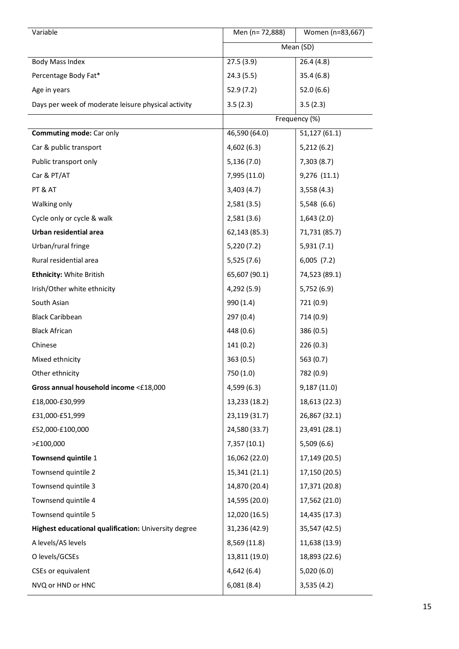| Variable                                             | Men (n= 72,888) | Women (n=83,667) |
|------------------------------------------------------|-----------------|------------------|
|                                                      |                 | Mean (SD)        |
| <b>Body Mass Index</b>                               | 27.5(3.9)       | 26.4(4.8)        |
| Percentage Body Fat*                                 | 24.3 (5.5)      | 35.4(6.8)        |
| Age in years                                         | 52.9 (7.2)      | 52.0(6.6)        |
| Days per week of moderate leisure physical activity  | 3.5(2.3)        | 3.5(2.3)         |
|                                                      |                 | Frequency (%)    |
| <b>Commuting mode: Car only</b>                      | 46,590 (64.0)   | 51,127(61.1)     |
| Car & public transport                               | 4,602(6.3)      | 5,212(6.2)       |
| Public transport only                                | 5,136(7.0)      | 7,303(8.7)       |
| Car & PT/AT                                          | 7,995 (11.0)    | 9,276 (11.1)     |
| PT & AT                                              | 3,403(4.7)      | 3,558(4.3)       |
| Walking only                                         | 2,581(3.5)      | 5,548 (6.6)      |
| Cycle only or cycle & walk                           | 2,581(3.6)      | 1,643(2.0)       |
| Urban residential area                               | 62,143 (85.3)   | 71,731 (85.7)    |
| Urban/rural fringe                                   | 5,220(7.2)      | 5,931(7.1)       |
| Rural residential area                               | 5,525 (7.6)     | 6,005(7.2)       |
| <b>Ethnicity: White British</b>                      | 65,607 (90.1)   | 74,523 (89.1)    |
| Irish/Other white ethnicity                          | 4,292 (5.9)     | 5,752(6.9)       |
| South Asian                                          | 990 (1.4)       | 721 (0.9)        |
| <b>Black Caribbean</b>                               | 297(0.4)        | 714 (0.9)        |
| <b>Black African</b>                                 | 448 (0.6)       | 386 (0.5)        |
| Chinese                                              | 141(0.2)        | 226(0.3)         |
| Mixed ethnicity                                      | 363 (0.5)       | 563(0.7)         |
| Other ethnicity                                      | 750 (1.0)       | 782 (0.9)        |
| Gross annual household income <£18,000               | 4,599 (6.3)     | 9,187(11.0)      |
| £18,000-£30,999                                      | 13,233 (18.2)   | 18,613 (22.3)    |
| £31,000-£51,999                                      | 23,119 (31.7)   | 26,867 (32.1)    |
| £52,000-£100,000                                     | 24,580 (33.7)   | 23,491 (28.1)    |
| >E100,000                                            | 7,357 (10.1)    | 5,509(6.6)       |
| Townsend quintile 1                                  | 16,062 (22.0)   | 17,149 (20.5)    |
| Townsend quintile 2                                  | 15,341 (21.1)   | 17,150 (20.5)    |
| Townsend quintile 3                                  | 14,870 (20.4)   | 17,371 (20.8)    |
| Townsend quintile 4                                  | 14,595 (20.0)   | 17,562 (21.0)    |
| Townsend quintile 5                                  | 12,020 (16.5)   | 14,435 (17.3)    |
| Highest educational qualification: University degree | 31,236 (42.9)   | 35,547 (42.5)    |
| A levels/AS levels                                   | 8,569 (11.8)    | 11,638 (13.9)    |
| O levels/GCSEs                                       | 13,811 (19.0)   | 18,893 (22.6)    |
| CSEs or equivalent                                   | 4,642(6.4)      | 5,020(6.0)       |
| NVQ or HND or HNC                                    | 6,081(8.4)      | 3,535(4.2)       |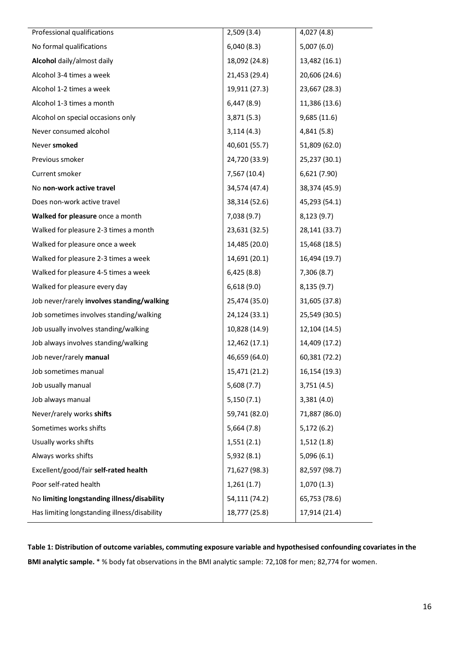| Professional qualifications                  | 2,509(3.4)    | 4,027(4.8)    |
|----------------------------------------------|---------------|---------------|
| No formal qualifications                     | 6,040(8.3)    | 5,007(6.0)    |
| Alcohol daily/almost daily                   | 18,092 (24.8) | 13,482 (16.1) |
| Alcohol 3-4 times a week                     | 21,453 (29.4) | 20,606 (24.6) |
| Alcohol 1-2 times a week                     | 19,911 (27.3) | 23,667 (28.3) |
| Alcohol 1-3 times a month                    | 6,447(8.9)    | 11,386 (13.6) |
| Alcohol on special occasions only            | 3,871(5.3)    | 9,685(11.6)   |
| Never consumed alcohol                       | 3,114(4.3)    | 4,841 (5.8)   |
| Never smoked                                 | 40,601 (55.7) | 51,809 (62.0) |
| Previous smoker                              | 24,720 (33.9) | 25,237 (30.1) |
| Current smoker                               | 7,567 (10.4)  | 6,621 (7.90)  |
| No non-work active travel                    | 34,574 (47.4) | 38,374 (45.9) |
| Does non-work active travel                  | 38,314 (52.6) | 45,293 (54.1) |
| Walked for pleasure once a month             | 7,038(9.7)    | 8,123(9.7)    |
| Walked for pleasure 2-3 times a month        | 23,631 (32.5) | 28,141 (33.7) |
| Walked for pleasure once a week              | 14,485 (20.0) | 15,468 (18.5) |
| Walked for pleasure 2-3 times a week         | 14,691 (20.1) | 16,494 (19.7) |
| Walked for pleasure 4-5 times a week         | 6,425(8.8)    | 7,306(8.7)    |
| Walked for pleasure every day                | 6,618(9.0)    | 8,135(9.7)    |
| Job never/rarely involves standing/walking   | 25,474 (35.0) | 31,605 (37.8) |
| Job sometimes involves standing/walking      | 24,124 (33.1) | 25,549 (30.5) |
| Job usually involves standing/walking        | 10,828 (14.9) | 12,104 (14.5) |
| Job always involves standing/walking         | 12,462 (17.1) | 14,409 (17.2) |
| Job never/rarely manual                      | 46,659 (64.0) | 60,381 (72.2) |
| Job sometimes manual                         | 15,471 (21.2) | 16,154 (19.3) |
| Job usually manual                           | 5,608(7.7)    | 3,751(4.5)    |
| Job always manual                            | 5,150(7.1)    | 3,381(4.0)    |
| Never/rarely works shifts                    | 59,741 (82.0) | 71,887 (86.0) |
| Sometimes works shifts                       | 5,664(7.8)    | 5,172(6.2)    |
| Usually works shifts                         | 1,551(2.1)    | 1,512(1.8)    |
| Always works shifts                          | 5,932(8.1)    | 5,096(6.1)    |
| Excellent/good/fair self-rated health        | 71,627 (98.3) | 82,597 (98.7) |
| Poor self-rated health                       | 1,261(1.7)    | 1,070(1.3)    |
| No limiting longstanding illness/disability  | 54,111 (74.2) | 65,753 (78.6) |
| Has limiting longstanding illness/disability | 18,777 (25.8) | 17,914 (21.4) |

**Table 1: Distribution of outcome variables, commuting exposure variable and hypothesised confounding covariates in the BMI analytic sample.** \* % body fat observations in the BMI analytic sample: 72,108 for men; 82,774 for women.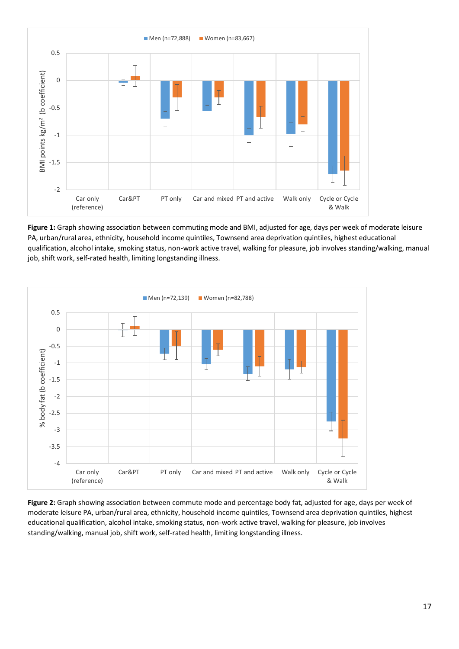

**Figure 1:** Graph showing association between commuting mode and BMI, adjusted for age, days per week of moderate leisure PA, urban/rural area, ethnicity, household income quintiles, Townsend area deprivation quintiles, highest educational qualification, alcohol intake, smoking status, non-work active travel, walking for pleasure, job involves standing/walking, manual job, shift work, self-rated health, limiting longstanding illness.



**Figure 2:** Graph showing association between commute mode and percentage body fat, adjusted for age, days per week of moderate leisure PA, urban/rural area, ethnicity, household income quintiles, Townsend area deprivation quintiles, highest educational qualification, alcohol intake, smoking status, non-work active travel, walking for pleasure, job involves standing/walking, manual job, shift work, self-rated health, limiting longstanding illness.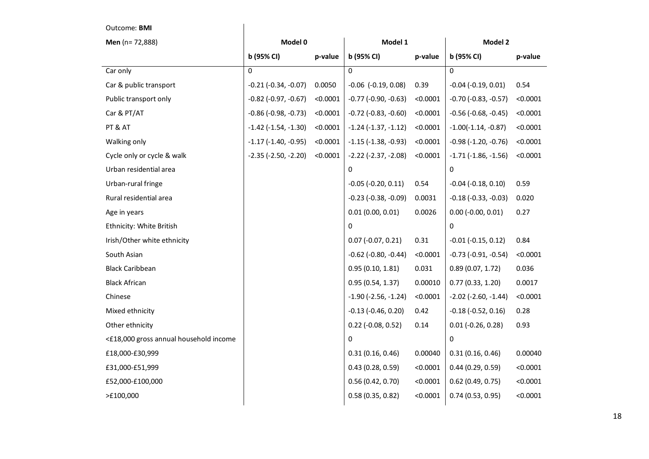| Men (n= 72,888)                        | Model 0                       |          | Model 1                       |          | Model 2                       |          |
|----------------------------------------|-------------------------------|----------|-------------------------------|----------|-------------------------------|----------|
|                                        | b (95% CI)                    | p-value  | b (95% CI)                    | p-value  | b (95% CI)                    | p-value  |
| Car only                               | $\Omega$                      |          | $\Omega$                      |          | $\Omega$                      |          |
| Car & public transport                 | $-0.21$ $(-0.34, -0.07)$      | 0.0050   | $-0.06$ $(-0.19, 0.08)$       | 0.39     | $-0.04$ $(-0.19, 0.01)$       | 0.54     |
| Public transport only                  | $-0.82$ ( $-0.97$ , $-0.67$ ) | < 0.0001 | $-0.77$ $(-0.90, -0.63)$      | < 0.0001 | $-0.70$ $(-0.83, -0.57)$      | < 0.0001 |
| Car & PT/AT                            | $-0.86$ ( $-0.98$ , $-0.73$ ) | < 0.0001 | $-0.72$ $(-0.83, -0.60)$      | < 0.0001 | $-0.56$ ( $-0.68$ , $-0.45$ ) | < 0.0001 |
| PT & AT                                | $-1.42$ ( $-1.54$ , $-1.30$ ) | < 0.0001 | $-1.24$ $(-1.37, -1.12)$      | < 0.0001 | $-1.00(-1.14, -0.87)$         | < 0.0001 |
| Walking only                           | $-1.17$ $(-1.40, -0.95)$      | < 0.0001 | $-1.15$ ( $-1.38$ , $-0.93$ ) | < 0.0001 | $-0.98$ ( $-1.20$ , $-0.76$ ) | < 0.0001 |
| Cycle only or cycle & walk             | $-2.35$ $(-2.50, -2.20)$      | < 0.0001 | $-2.22$ ( $-2.37$ , $-2.08$ ) | < 0.0001 | $-1.71$ $(-1.86, -1.56)$      | < 0.0001 |
| Urban residential area                 |                               |          | 0                             |          | 0                             |          |
| Urban-rural fringe                     |                               |          | $-0.05$ $(-0.20, 0.11)$       | 0.54     | $-0.04$ $(-0.18, 0.10)$       | 0.59     |
| Rural residential area                 |                               |          | $-0.23$ ( $-0.38$ , $-0.09$ ) | 0.0031   | $-0.18$ $(-0.33, -0.03)$      | 0.020    |
| Age in years                           |                               |          | 0.01(0.00, 0.01)              | 0.0026   | $0.00$ (-0.00, 0.01)          | 0.27     |
| Ethnicity: White British               |                               |          | $\Omega$                      |          | $\Omega$                      |          |
| Irish/Other white ethnicity            |                               |          | $0.07$ (-0.07, 0.21)          | 0.31     | $-0.01$ $(-0.15, 0.12)$       | 0.84     |
| South Asian                            |                               |          | $-0.62$ ( $-0.80$ , $-0.44$ ) | < 0.0001 | $-0.73$ $(-0.91, -0.54)$      | < 0.0001 |
| <b>Black Caribbean</b>                 |                               |          | 0.95(0.10, 1.81)              | 0.031    | 0.89(0.07, 1.72)              | 0.036    |
| <b>Black African</b>                   |                               |          | 0.95(0.54, 1.37)              | 0.00010  | 0.77(0.33, 1.20)              | 0.0017   |
| Chinese                                |                               |          | $-1.90$ ( $-2.56$ , $-1.24$ ) | < 0.0001 | $-2.02$ ( $-2.60$ , $-1.44$ ) | < 0.0001 |
| Mixed ethnicity                        |                               |          | $-0.13$ $(-0.46, 0.20)$       | 0.42     | $-0.18$ $(-0.52, 0.16)$       | 0.28     |
| Other ethnicity                        |                               |          | $0.22$ (-0.08, 0.52)          | 0.14     | $0.01$ (-0.26, 0.28)          | 0.93     |
| <£18,000 gross annual household income |                               |          | $\Omega$                      |          | $\Omega$                      |          |
| £18,000-£30,999                        |                               |          | 0.31(0.16, 0.46)              | 0.00040  | 0.31(0.16, 0.46)              | 0.00040  |
| £31,000-£51,999                        |                               |          | 0.43(0.28, 0.59)              | < 0.0001 | 0.44(0.29, 0.59)              | < 0.0001 |
| £52,000-£100,000                       |                               |          | 0.56(0.42, 0.70)              | < 0.0001 | $0.62$ (0.49, 0.75)           | < 0.0001 |
| >E100,000                              |                               |          | 0.58(0.35, 0.82)              | < 0.0001 | 0.74(0.53, 0.95)              | < 0.0001 |

Outcome: **BMI**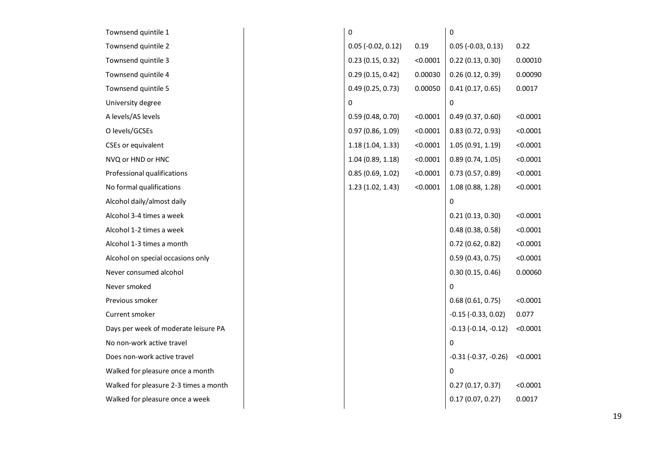| Townsend quintile 1                   | 0                    |          | 0                        |          |
|---------------------------------------|----------------------|----------|--------------------------|----------|
| Townsend quintile 2                   | $0.05$ (-0.02, 0.12) | 0.19     | $0.05$ (-0.03, 0.13)     | 0.22     |
| Townsend quintile 3                   | 0.23(0.15, 0.32)     | < 0.0001 | 0.22(0.13, 0.30)         | 0.00010  |
| Townsend quintile 4                   | 0.29(0.15, 0.42)     | 0.00030  | 0.26(0.12, 0.39)         | 0.00090  |
| Townsend quintile 5                   | 0.49(0.25, 0.73)     | 0.00050  | 0.41(0.17, 0.65)         | 0.0017   |
| University degree                     | 0                    |          | 0                        |          |
| A levels/AS levels                    | 0.59(0.48, 0.70)     | < 0.0001 | 0.49(0.37, 0.60)         | < 0.0001 |
| O levels/GCSEs                        | 0.97(0.86, 1.09)     | < 0.0001 | 0.83(0.72, 0.93)         | < 0.0001 |
| CSEs or equivalent                    | 1.18(1.04, 1.33)     | < 0.0001 | 1.05(0.91, 1.19)         | < 0.0001 |
| NVQ or HND or HNC                     | 1.04(0.89, 1.18)     | < 0.0001 | 0.89(0.74, 1.05)         | < 0.0001 |
| Professional qualifications           | 0.85(0.69, 1.02)     | < 0.0001 | 0.73(0.57, 0.89)         | < 0.0001 |
| No formal qualifications              | 1.23(1.02, 1.43)     | < 0.0001 | 1.08(0.88, 1.28)         | < 0.0001 |
| Alcohol daily/almost daily            |                      |          | 0                        |          |
| Alcohol 3-4 times a week              |                      |          | 0.21(0.13, 0.30)         | < 0.0001 |
| Alcohol 1-2 times a week              |                      |          | 0.48(0.38, 0.58)         | < 0.0001 |
| Alcohol 1-3 times a month             |                      |          | 0.72(0.62, 0.82)         | < 0.0001 |
| Alcohol on special occasions only     |                      |          | 0.59(0.43, 0.75)         | < 0.0001 |
| Never consumed alcohol                |                      |          | 0.30(0.15, 0.46)         | 0.00060  |
| Never smoked                          |                      |          | 0                        |          |
| Previous smoker                       |                      |          | 0.68(0.61, 0.75)         | < 0.0001 |
| Current smoker                        |                      |          | $-0.15$ $(-0.33, 0.02)$  | 0.077    |
| Days per week of moderate leisure PA  |                      |          | $-0.13$ $(-0.14, -0.12)$ | < 0.0001 |
| No non-work active travel             |                      |          | 0                        |          |
| Does non-work active travel           |                      |          | $-0.31$ $(-0.37, -0.26)$ | < 0.0001 |
| Walked for pleasure once a month      |                      |          | $\Omega$                 |          |
| Walked for pleasure 2-3 times a month |                      |          | 0.27(0.17, 0.37)         | < 0.0001 |
| Walked for pleasure once a week       |                      |          | 0.17(0.07, 0.27)         | 0.0017   |
|                                       |                      |          |                          |          |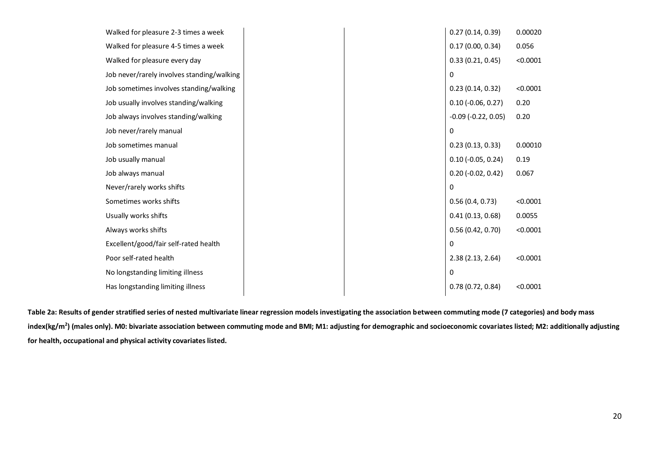| Walked for pleasure 2-3 times a week       | 0.27(0.14, 0.39)             | 0.00020  |
|--------------------------------------------|------------------------------|----------|
| Walked for pleasure 4-5 times a week       | 0.17(0.00, 0.34)             | 0.056    |
| Walked for pleasure every day              | 0.33(0.21, 0.45)             | < 0.0001 |
| Job never/rarely involves standing/walking | 0                            |          |
| Job sometimes involves standing/walking    | 0.23(0.14, 0.32)             | < 0.0001 |
| Job usually involves standing/walking      | $0.10$ (-0.06, 0.27)         | 0.20     |
| Job always involves standing/walking       | $-0.09$ ( $-0.22$ , $0.05$ ) | 0.20     |
| Job never/rarely manual                    | 0                            |          |
| Job sometimes manual                       | 0.23(0.13, 0.33)             | 0.00010  |
| Job usually manual                         | $0.10$ (-0.05, 0.24)         | 0.19     |
| Job always manual                          | $0.20$ (-0.02, 0.42)         | 0.067    |
| Never/rarely works shifts                  | 0                            |          |
| Sometimes works shifts                     | 0.56(0.4, 0.73)              | < 0.0001 |
| Usually works shifts                       | 0.41(0.13, 0.68)             | 0.0055   |
| Always works shifts                        | 0.56(0.42, 0.70)             | < 0.0001 |
| Excellent/good/fair self-rated health      | 0                            |          |
| Poor self-rated health                     | 2.38(2.13, 2.64)             | < 0.0001 |
| No longstanding limiting illness           | 0                            |          |
| Has longstanding limiting illness          | 0.78(0.72, 0.84)             | < 0.0001 |
|                                            |                              |          |

**Table 2a: Results of gender stratified series of nested multivariate linear regression models investigating the association between commuting mode (7 categories) and body mass index(kg/m<sup>2</sup> ) (males only). M0: bivariate association between commuting mode and BMI; M1: adjusting for demographic and socioeconomic covariates listed; M2: additionally adjusting for health, occupational and physical activity covariates listed.**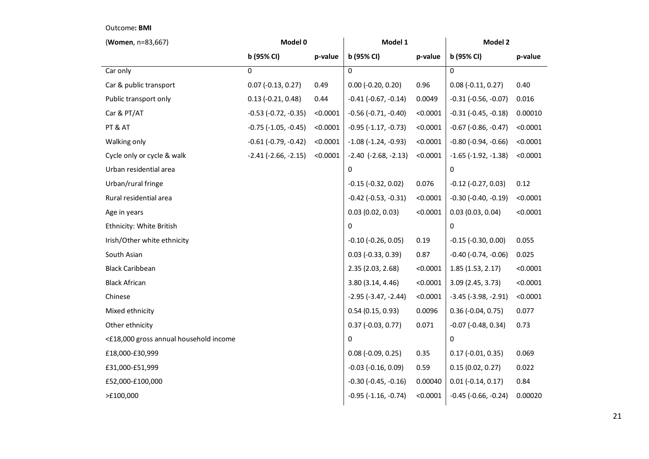### Outcome**: BMI**

| (Women, n=83,667)                      | Model 0                       | Model 1  |                               | Model 2  |                               |          |
|----------------------------------------|-------------------------------|----------|-------------------------------|----------|-------------------------------|----------|
|                                        | b (95% CI)                    | p-value  | b (95% CI)                    | p-value  | b (95% CI)                    | p-value  |
| Car only                               | $\Omega$                      |          | $\Omega$                      |          | $\Omega$                      |          |
| Car & public transport                 | $0.07$ (-0.13, 0.27)          | 0.49     | $0.00$ (-0.20, 0.20)          | 0.96     | $0.08 (-0.11, 0.27)$          | 0.40     |
| Public transport only                  | $0.13$ (-0.21, 0.48)          | 0.44     | $-0.41$ $(-0.67, -0.14)$      | 0.0049   | $-0.31$ $(-0.56, -0.07)$      | 0.016    |
| Car & PT/AT                            | $-0.53$ $(-0.72, -0.35)$      | < 0.0001 | $-0.56$ $(-0.71, -0.40)$      | < 0.0001 | $-0.31$ $(-0.45, -0.18)$      | 0.00010  |
| PT & AT                                | $-0.75$ ( $-1.05$ , $-0.45$ ) | < 0.0001 | $-0.95$ $(-1.17, -0.73)$      | < 0.0001 | $-0.67$ $(-0.86, -0.47)$      | < 0.0001 |
| Walking only                           | $-0.61$ ( $-0.79$ , $-0.42$ ) | < 0.0001 | $-1.08$ ( $-1.24$ , $-0.93$ ) | < 0.0001 | $-0.80$ ( $-0.94$ , $-0.66$ ) | < 0.0001 |
| Cycle only or cycle & walk             | $-2.41$ $(-2.66, -2.15)$      | < 0.0001 | $-2.40$ $(-2.68, -2.13)$      | < 0.0001 | $-1.65$ ( $-1.92$ , $-1.38$ ) | < 0.0001 |
| Urban residential area                 |                               |          | 0                             |          | 0                             |          |
| Urban/rural fringe                     |                               |          | $-0.15$ $(-0.32, 0.02)$       | 0.076    | $-0.12$ $(-0.27, 0.03)$       | 0.12     |
| Rural residential area                 |                               |          | $-0.42$ $(-0.53, -0.31)$      | < 0.0001 | $-0.30$ $(-0.40, -0.19)$      | < 0.0001 |
| Age in years                           |                               |          | 0.03(0.02, 0.03)              | < 0.0001 | 0.03(0.03, 0.04)              | < 0.0001 |
| Ethnicity: White British               |                               |          | 0                             |          | $\Omega$                      |          |
| Irish/Other white ethnicity            |                               |          | $-0.10$ $(-0.26, 0.05)$       | 0.19     | $-0.15$ $(-0.30, 0.00)$       | 0.055    |
| South Asian                            |                               |          | $0.03$ (-0.33, 0.39)          | 0.87     | $-0.40$ $(-0.74, -0.06)$      | 0.025    |
| <b>Black Caribbean</b>                 |                               |          | 2.35 (2.03, 2.68)             | < 0.0001 | 1.85(1.53, 2.17)              | < 0.0001 |
| <b>Black African</b>                   |                               |          | 3.80(3.14, 4.46)              | < 0.0001 | 3.09 (2.45, 3.73)             | < 0.0001 |
| Chinese                                |                               |          | $-2.95$ ( $-3.47$ , $-2.44$ ) | < 0.0001 | $-3.45$ ( $-3.98$ , $-2.91$ ) | < 0.0001 |
| Mixed ethnicity                        |                               |          | 0.54(0.15, 0.93)              | 0.0096   | $0.36$ (-0.04, 0.75)          | 0.077    |
| Other ethnicity                        |                               |          | $0.37(-0.03, 0.77)$           | 0.071    | $-0.07$ $(-0.48, 0.34)$       | 0.73     |
| <£18,000 gross annual household income |                               |          | 0                             |          | $\mathbf 0$                   |          |
| £18,000-£30,999                        |                               |          | $0.08$ (-0.09, 0.25)          | 0.35     | $0.17$ (-0.01, 0.35)          | 0.069    |
| £31,000-£51,999                        |                               |          | $-0.03$ $(-0.16, 0.09)$       | 0.59     | 0.15(0.02, 0.27)              | 0.022    |
| £52,000-£100,000                       |                               |          | $-0.30$ $(-0.45, -0.16)$      | 0.00040  | $0.01 (-0.14, 0.17)$          | 0.84     |
| >£100,000                              |                               |          | $-0.95$ ( $-1.16$ , $-0.74$ ) | < 0.0001 | $-0.45$ ( $-0.66$ , $-0.24$ ) | 0.00020  |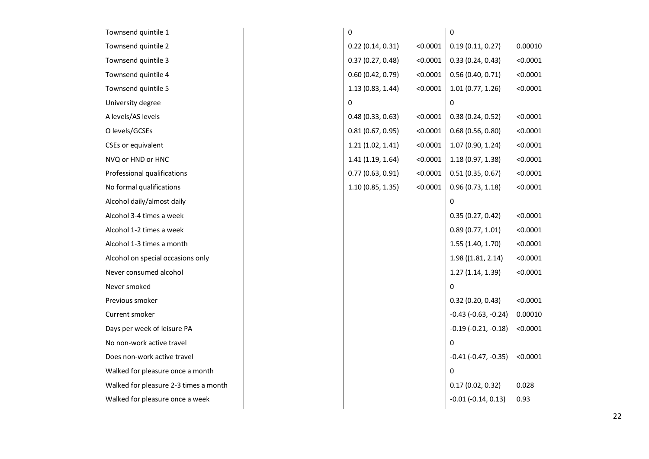| Townsend quintile 1                   | 0                |          | 0                        |          |
|---------------------------------------|------------------|----------|--------------------------|----------|
| Townsend quintile 2                   | 0.22(0.14, 0.31) | < 0.0001 | 0.19(0.11, 0.27)         | 0.00010  |
| Townsend quintile 3                   | 0.37(0.27, 0.48) | < 0.0001 | 0.33(0.24, 0.43)         | < 0.0001 |
| Townsend quintile 4                   | 0.60(0.42, 0.79) | < 0.0001 | 0.56(0.40, 0.71)         | < 0.0001 |
| Townsend quintile 5                   | 1.13(0.83, 1.44) | < 0.0001 | 1.01(0.77, 1.26)         | < 0.0001 |
| University degree                     | $\mathbf{0}$     |          | 0                        |          |
| A levels/AS levels                    | 0.48(0.33, 0.63) | < 0.0001 | 0.38(0.24, 0.52)         | < 0.0001 |
| O levels/GCSEs                        | 0.81(0.67, 0.95) | < 0.0001 | 0.68(0.56, 0.80)         | < 0.0001 |
| CSEs or equivalent                    | 1.21(1.02, 1.41) | < 0.0001 | 1.07(0.90, 1.24)         | < 0.0001 |
| NVQ or HND or HNC                     | 1.41(1.19, 1.64) | < 0.0001 | 1.18(0.97, 1.38)         | < 0.0001 |
| Professional qualifications           | 0.77(0.63, 0.91) | < 0.0001 | 0.51(0.35, 0.67)         | < 0.0001 |
| No formal qualifications              | 1.10(0.85, 1.35) | < 0.0001 | 0.96(0.73, 1.18)         | < 0.0001 |
| Alcohol daily/almost daily            |                  |          | 0                        |          |
| Alcohol 3-4 times a week              |                  |          | 0.35(0.27, 0.42)         | < 0.0001 |
| Alcohol 1-2 times a week              |                  |          | 0.89(0.77, 1.01)         | < 0.0001 |
| Alcohol 1-3 times a month             |                  |          | 1.55(1.40, 1.70)         | < 0.0001 |
| Alcohol on special occasions only     |                  |          | $1.98$ ((1.81, 2.14)     | < 0.0001 |
| Never consumed alcohol                |                  |          | 1.27(1.14, 1.39)         | < 0.0001 |
| Never smoked                          |                  |          | 0                        |          |
| Previous smoker                       |                  |          | 0.32(0.20, 0.43)         | < 0.0001 |
| Current smoker                        |                  |          | $-0.43$ $(-0.63, -0.24)$ | 0.00010  |
| Days per week of leisure PA           |                  |          | $-0.19$ $(-0.21, -0.18)$ | < 0.0001 |
| No non-work active travel             |                  |          | 0                        |          |
| Does non-work active travel           |                  |          | $-0.41$ $(-0.47, -0.35)$ | < 0.0001 |
| Walked for pleasure once a month      |                  |          | 0                        |          |
| Walked for pleasure 2-3 times a month |                  |          | 0.17(0.02, 0.32)         | 0.028    |
| Walked for pleasure once a week       |                  |          | $-0.01$ $(-0.14, 0.13)$  | 0.93     |
|                                       |                  |          |                          |          |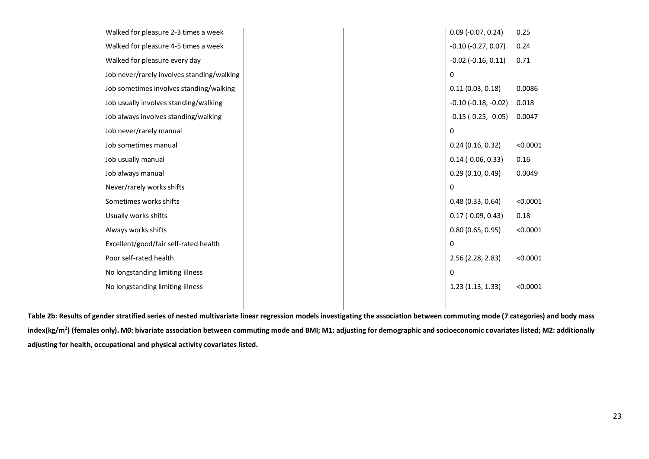| Walked for pleasure 2-3 times a week       |  | $0.09$ (-0.07, 0.24)          | 0.25     |
|--------------------------------------------|--|-------------------------------|----------|
| Walked for pleasure 4-5 times a week       |  | $-0.10$ $(-0.27, 0.07)$       | 0.24     |
| Walked for pleasure every day              |  | $-0.02$ $(-0.16, 0.11)$       | 0.71     |
| Job never/rarely involves standing/walking |  | $\Omega$                      |          |
| Job sometimes involves standing/walking    |  | 0.11(0.03, 0.18)              | 0.0086   |
| Job usually involves standing/walking      |  | $-0.10$ ( $-0.18$ , $-0.02$ ) | 0.018    |
| Job always involves standing/walking       |  | $-0.15$ ( $-0.25$ , $-0.05$ ) | 0.0047   |
| Job never/rarely manual                    |  | 0                             |          |
| Job sometimes manual                       |  | 0.24(0.16, 0.32)              | < 0.0001 |
| Job usually manual                         |  | $0.14$ (-0.06, 0.33)          | 0.16     |
| Job always manual                          |  | 0.29(0.10, 0.49)              | 0.0049   |
| Never/rarely works shifts                  |  | 0                             |          |
| Sometimes works shifts                     |  | 0.48(0.33, 0.64)              | < 0.0001 |
| Usually works shifts                       |  | $0.17$ (-0.09, 0.43)          | 0.18     |
| Always works shifts                        |  | 0.80(0.65, 0.95)              | < 0.0001 |
| Excellent/good/fair self-rated health      |  | 0                             |          |
| Poor self-rated health                     |  | 2.56 (2.28, 2.83)             | < 0.0001 |
| No longstanding limiting illness           |  | 0                             |          |
| No longstanding limiting illness           |  | 1.23(1.13, 1.33)              | < 0.0001 |
|                                            |  |                               |          |

**Table 2b: Results of gender stratified series of nested multivariate linear regression models investigating the association between commuting mode (7 categories) and body mass index(kg/m<sup>2</sup> ) (females only). M0: bivariate association between commuting mode and BMI; M1: adjusting for demographic and socioeconomic covariates listed; M2: additionally adjusting for health, occupational and physical activity covariates listed.**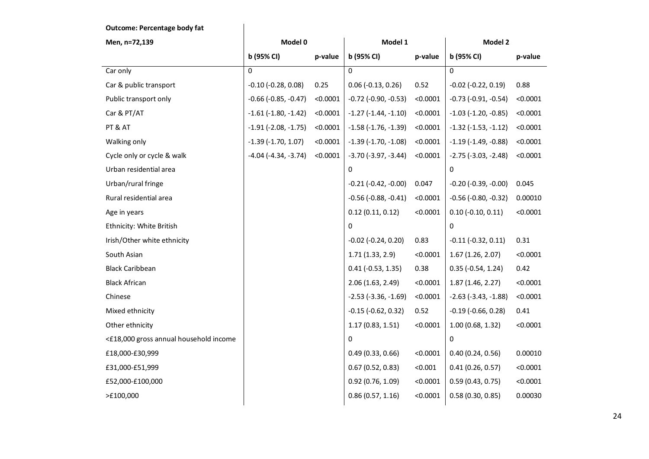### **Outcome: Percentage body fat**

| Men, n=72,139                          | Model 0                       |          | Model 1                       |          | Model 2                       |          |
|----------------------------------------|-------------------------------|----------|-------------------------------|----------|-------------------------------|----------|
|                                        | b (95% CI)                    | p-value  | b (95% CI)                    | p-value  | b (95% CI)                    | p-value  |
| Car only                               | $\Omega$                      |          | $\Omega$                      |          | $\Omega$                      |          |
| Car & public transport                 | $-0.10$ $(-0.28, 0.08)$       | 0.25     | $0.06$ (-0.13, 0.26)          | 0.52     | $-0.02$ $(-0.22, 0.19)$       | 0.88     |
| Public transport only                  | $-0.66$ ( $-0.85$ , $-0.47$ ) | < 0.0001 | $-0.72$ $(-0.90, -0.53)$      | < 0.0001 | $-0.73$ $(-0.91, -0.54)$      | < 0.0001 |
| Car & PT/AT                            | $-1.61$ $(-1.80, -1.42)$      | < 0.0001 | $-1.27$ $(-1.44, -1.10)$      | < 0.0001 | $-1.03$ ( $-1.20$ , $-0.85$ ) | < 0.0001 |
| PT & AT                                | $-1.91$ ( $-2.08$ , $-1.75$ ) | < 0.0001 | $-1.58$ ( $-1.76$ , $-1.39$ ) | < 0.0001 | $-1.32$ $(-1.53, -1.12)$      | < 0.0001 |
| Walking only                           | $-1.39$ $(-1.70, 1.07)$       | < 0.0001 | $-1.39$ $(-1.70, -1.08)$      | < 0.0001 | $-1.19$ ( $-1.49$ , $-0.88$ ) | < 0.0001 |
| Cycle only or cycle & walk             | $-4.04$ ( $-4.34$ , $-3.74$ ) | < 0.0001 | $-3.70$ ( $-3.97$ , $-3.44$ ) | < 0.0001 | $-2.75$ $(-3.03, -2.48)$      | < 0.0001 |
| Urban residential area                 |                               |          | $\mathbf 0$                   |          | $\mathbf 0$                   |          |
| Urban/rural fringe                     |                               |          | $-0.21$ $(-0.42, -0.00)$      | 0.047    | $-0.20$ ( $-0.39$ , $-0.00$ ) | 0.045    |
| Rural residential area                 |                               |          | $-0.56$ ( $-0.88$ , $-0.41$ ) | < 0.0001 | $-0.56$ ( $-0.80$ , $-0.32$ ) | 0.00010  |
| Age in years                           |                               |          | 0.12(0.11, 0.12)              | < 0.0001 | $0.10 (-0.10, 0.11)$          | < 0.0001 |
| Ethnicity: White British               |                               |          | $\mathbf 0$                   |          | $\mathbf 0$                   |          |
| Irish/Other white ethnicity            |                               |          | $-0.02$ $(-0.24, 0.20)$       | 0.83     | $-0.11$ $(-0.32, 0.11)$       | 0.31     |
| South Asian                            |                               |          | 1.71(1.33, 2.9)               | < 0.0001 | 1.67(1.26, 2.07)              | < 0.0001 |
| <b>Black Caribbean</b>                 |                               |          | $0.41$ ( $-0.53$ , 1.35)      | 0.38     | $0.35$ ( $-0.54$ , 1.24)      | 0.42     |
| <b>Black African</b>                   |                               |          | 2.06 (1.63, 2.49)             | < 0.0001 | 1.87(1.46, 2.27)              | < 0.0001 |
| Chinese                                |                               |          | $-2.53$ ( $-3.36$ , $-1.69$ ) | < 0.0001 | $-2.63$ ( $-3.43$ , $-1.88$ ) | < 0.0001 |
| Mixed ethnicity                        |                               |          | $-0.15$ $(-0.62, 0.32)$       | 0.52     | $-0.19$ $(-0.66, 0.28)$       | 0.41     |
| Other ethnicity                        |                               |          | 1.17(0.83, 1.51)              | < 0.0001 | 1.00(0.68, 1.32)              | < 0.0001 |
| <£18,000 gross annual household income |                               |          | $\Omega$                      |          | $\Omega$                      |          |
| £18,000-£30,999                        |                               |          | 0.49(0.33, 0.66)              | < 0.0001 | 0.40(0.24, 0.56)              | 0.00010  |
| £31,000-£51,999                        |                               |          | 0.67(0.52, 0.83)              | < 0.001  | 0.41(0.26, 0.57)              | < 0.0001 |
| £52,000-£100,000                       |                               |          | 0.92(0.76, 1.09)              | < 0.0001 | 0.59(0.43, 0.75)              | < 0.0001 |
| >£100,000                              |                               |          | 0.86(0.57, 1.16)              | < 0.0001 | 0.58(0.30, 0.85)              | 0.00030  |
|                                        |                               |          |                               |          |                               |          |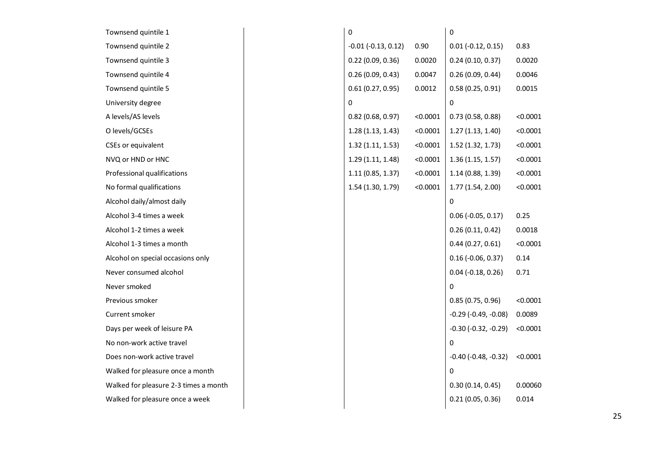| Townsend quintile 1                   | 0                       |          | 0                             |          |
|---------------------------------------|-------------------------|----------|-------------------------------|----------|
| Townsend quintile 2                   | $-0.01$ $(-0.13, 0.12)$ | 0.90     | $0.01 (-0.12, 0.15)$          | 0.83     |
| Townsend quintile 3                   | 0.22(0.09, 0.36)        | 0.0020   | 0.24(0.10, 0.37)              | 0.0020   |
| Townsend quintile 4                   | 0.26(0.09, 0.43)        | 0.0047   | 0.26(0.09, 0.44)              | 0.0046   |
| Townsend quintile 5                   | 0.61(0.27, 0.95)        | 0.0012   | 0.58(0.25, 0.91)              | 0.0015   |
| University degree                     | 0                       |          | 0                             |          |
| A levels/AS levels                    | $0.82$ (0.68, 0.97)     | < 0.0001 | 0.73(0.58, 0.88)              | < 0.0001 |
| O levels/GCSEs                        | 1.28(1.13, 1.43)        | < 0.0001 | 1.27(1.13, 1.40)              | < 0.0001 |
| CSEs or equivalent                    | 1.32(1.11, 1.53)        | < 0.0001 | 1.52(1.32, 1.73)              | < 0.0001 |
| NVQ or HND or HNC                     | 1.29(1.11, 1.48)        | < 0.0001 | 1.36(1.15, 1.57)              | < 0.0001 |
| Professional qualifications           | 1.11(0.85, 1.37)        | < 0.0001 | 1.14 (0.88, 1.39)             | < 0.0001 |
| No formal qualifications              | 1.54 (1.30, 1.79)       | < 0.0001 | 1.77(1.54, 2.00)              | < 0.0001 |
| Alcohol daily/almost daily            |                         |          | 0                             |          |
| Alcohol 3-4 times a week              |                         |          | $0.06$ (-0.05, 0.17)          | 0.25     |
| Alcohol 1-2 times a week              |                         |          | 0.26(0.11, 0.42)              | 0.0018   |
| Alcohol 1-3 times a month             |                         |          | 0.44(0.27, 0.61)              | < 0.0001 |
| Alcohol on special occasions only     |                         |          | $0.16$ (-0.06, 0.37)          | 0.14     |
| Never consumed alcohol                |                         |          | $0.04$ (-0.18, 0.26)          | 0.71     |
| Never smoked                          |                         |          | 0                             |          |
| Previous smoker                       |                         |          | 0.85(0.75, 0.96)              | < 0.0001 |
| Current smoker                        |                         |          | $-0.29$ $(-0.49, -0.08)$      | 0.0089   |
| Days per week of leisure PA           |                         |          | $-0.30$ $(-0.32, -0.29)$      | < 0.0001 |
| No non-work active travel             |                         |          | 0                             |          |
| Does non-work active travel           |                         |          | $-0.40$ ( $-0.48$ , $-0.32$ ) | < 0.0001 |
| Walked for pleasure once a month      |                         |          | 0                             |          |
| Walked for pleasure 2-3 times a month |                         |          | 0.30(0.14, 0.45)              | 0.00060  |
| Walked for pleasure once a week       |                         |          | 0.21(0.05, 0.36)              | 0.014    |
|                                       |                         |          |                               |          |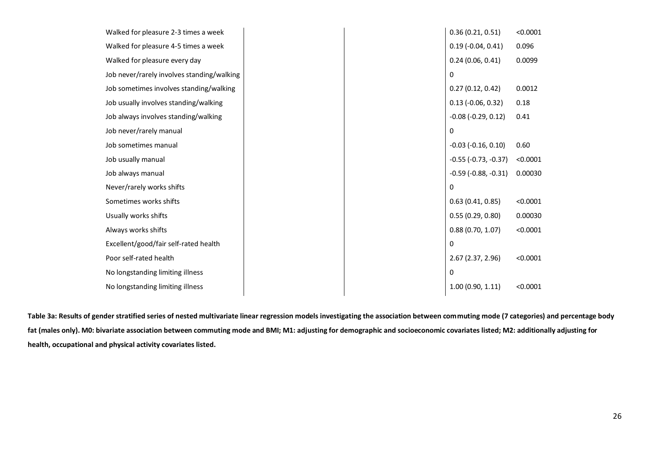| Walked for pleasure 2-3 times a week       |  | 0.36(0.21, 0.51)              | < 0.0001 |
|--------------------------------------------|--|-------------------------------|----------|
| Walked for pleasure 4-5 times a week       |  | $0.19$ (-0.04, 0.41)          | 0.096    |
| Walked for pleasure every day              |  | 0.24(0.06, 0.41)              | 0.0099   |
| Job never/rarely involves standing/walking |  | $\Omega$                      |          |
| Job sometimes involves standing/walking    |  | 0.27(0.12, 0.42)              | 0.0012   |
| Job usually involves standing/walking      |  | $0.13$ (-0.06, 0.32)          | 0.18     |
| Job always involves standing/walking       |  | $-0.08$ $(-0.29, 0.12)$       | 0.41     |
| Job never/rarely manual                    |  | $\Omega$                      |          |
| Job sometimes manual                       |  | $-0.03$ $(-0.16, 0.10)$       | 0.60     |
| Job usually manual                         |  | $-0.55$ ( $-0.73$ , $-0.37$ ) | < 0.0001 |
| Job always manual                          |  | $-0.59$ ( $-0.88$ , $-0.31$ ) | 0.00030  |
| Never/rarely works shifts                  |  | $\Omega$                      |          |
| Sometimes works shifts                     |  | 0.63(0.41, 0.85)              | < 0.0001 |
| Usually works shifts                       |  | 0.55(0.29, 0.80)              | 0.00030  |
| Always works shifts                        |  | 0.88(0.70, 1.07)              | < 0.0001 |
| Excellent/good/fair self-rated health      |  | 0                             |          |
| Poor self-rated health                     |  | 2.67 (2.37, 2.96)             | < 0.0001 |
| No longstanding limiting illness           |  | $\Omega$                      |          |
| No longstanding limiting illness           |  | 1.00(0.90, 1.11)              | < 0.0001 |
|                                            |  |                               |          |

**Table 3a: Results of gender stratified series of nested multivariate linear regression models investigating the association between commuting mode (7 categories) and percentage body fat (males only). M0: bivariate association between commuting mode and BMI; M1: adjusting for demographic and socioeconomic covariates listed; M2: additionally adjusting for health, occupational and physical activity covariates listed.**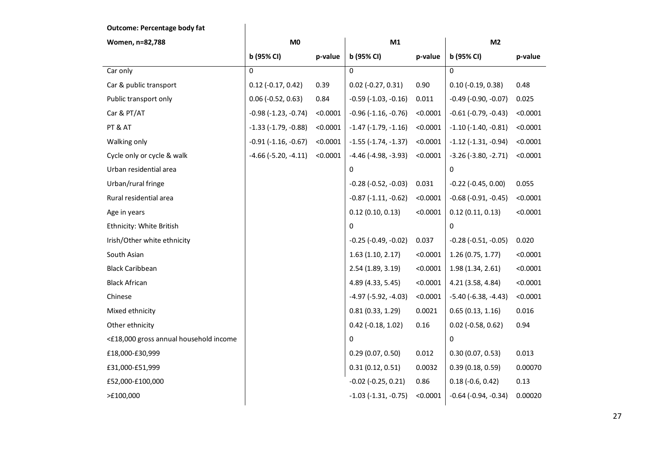**Outcome: Percentage body fat Women, n=82,788 M0 M1 M2 b (95% CI) p-value b (95% CI) p-value b (95% CI) p-value**  $\begin{array}{c|c|c|c|c} \text{Car only} & & \hspace{1.5cm} & \hspace{1.5cm} & \hspace{1.5cm} & \hspace{1.5cm} & \hspace{1.5cm} & \hspace{1.5cm} & \hspace{1.5cm} & \hspace{1.5cm} & \hspace{1.5cm} & \hspace{1.5cm} & \hspace{1.5cm} & \hspace{1.5cm} & \hspace{1.5cm} & \hspace{1.5cm} & \hspace{1.5cm} & \hspace{1.5cm} & \hspace{1.5cm} & \hspace{1.5cm} & \hspace{1.5cm} & \hspace{1.5$ Car & public transport 0.12 (-0.17, 0.42) 0.39 0.02 (-0.27, 0.31) 0.90 0.10 (-0.19, 0.38) 0.48 Public transport only 0.06 (-0.52, 0.63) 0.84 -0.59 (-1.03, -0.16) 0.011 -0.49 (-0.90, -0.07) 0.025 Car & PT/AT  $\vert$  -0.98 (-1.23, -0.74) <0.0001  $\vert$  -0.96 (-1.16, -0.76) <0.0001  $\vert$  -0.61 (-0.79, -0.43) <0.0001 PT & AT -1.33 (-1.79, -0.88) <0.0001 -1.47 (-1.79, -1.16) <0.0001 -1.10 (-1.40, -0.81) <0.0001 Walking only eq. 0.0001 -0.91 (-1.16, -0.67) <0.0001 -1.55 (-1.74, -1.37) <0.0001 -1.12 (-1.31, -0.94) <0.0001 Cycle only or cycle & walk -4.66 (-5.20, -4.11) <0.0001 -4.46 (-4.98, -3.93) <0.0001 -3.26 (-3.80, -2.71) <0.0001 Urban residential area 0 0 Urban/rural fringe -0.28 (-0.52, -0.03) 0.031 -0.22 (-0.45, 0.00) 0.055 Rural residential area -0.87 (-1.11, -0.62) -0.87 (-1.11, -0.62) -0.80 (-0.91, -0.45) -0.0001 Age in years 0.12 (0.10, 0.13) <0.0001 0.12 (0.11, 0.13) <0.0001 Ethnicity: White British **Department Control** Control of the United States of October 2008 and October 2008 and O Irish/Other white ethnicity -0.25 (-0.49, -0.02) 0.037 -0.28 (-0.51, -0.05) 0.020 South Asian 1.63 (1.10, 2.17) <0.0001 1.26 (0.75, 1.77) <0.0001 Black Caribbean 2.54 (1.89, 3.19) <0.0001 1.98 (1.34, 2.61) <0.0001 Black African 4.89 (4.33, 5.45) <0.0001 4.21 (3.58, 4.84) <0.0001 Chinese 200001 -5.40 (-5.92, -4.03) -4.97 (-5.92, -4.03) -4.030 -6.38, -4.43 <0.0001 Mixed ethnicity **1.16** (0.31 (0.33, 1.29) 0.0021 0.65 (0.13, 1.16) 0.016 Other ethnicity 0.42 (-0.18, 1.02) 0.16 0.02 (-0.58, 0.62) 0.94 <£18,000 gross annual household income 0 0 £18,000-£30,999 0.29 (0.07, 0.50) 0.012 0.30 (0.07, 0.53) 0.013 £31,000-£51,999 0.31 (0.12, 0.51) 0.0032 0.39 (0.18, 0.59) 0.00070 £52,000-£100,000 -0.02 (-0.25, 0.21) 0.86 0.18 (-0.6, 0.42) 0.13 >£100,000 -1.03 (-1.31, -0.75) <0.0001 -0.64 (-0.94, -0.34) 0.00020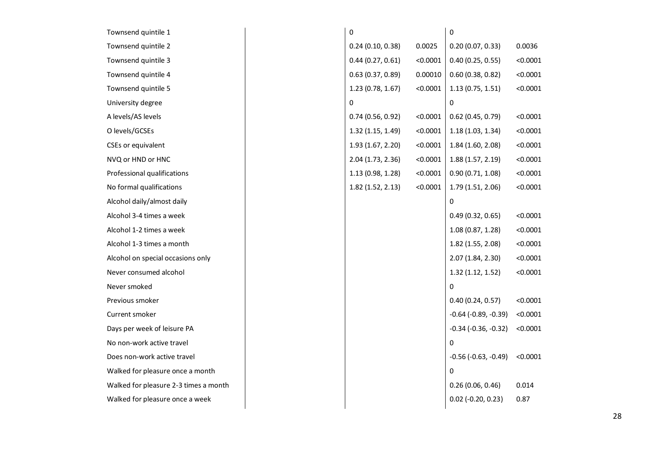| Townsend quintile 1                   | 0                |          | 0                             |          |
|---------------------------------------|------------------|----------|-------------------------------|----------|
| Townsend quintile 2                   | 0.24(0.10, 0.38) | 0.0025   | 0.20(0.07, 0.33)              | 0.0036   |
| Townsend quintile 3                   | 0.44(0.27, 0.61) | < 0.0001 | 0.40(0.25, 0.55)              | < 0.0001 |
| Townsend quintile 4                   | 0.63(0.37, 0.89) | 0.00010  | 0.60(0.38, 0.82)              | < 0.0001 |
| Townsend quintile 5                   | 1.23(0.78, 1.67) | < 0.0001 | 1.13(0.75, 1.51)              | < 0.0001 |
| University degree                     | 0                |          | 0                             |          |
| A levels/AS levels                    | 0.74(0.56, 0.92) | < 0.0001 | $0.62$ (0.45, 0.79)           | < 0.0001 |
| O levels/GCSEs                        | 1.32(1.15, 1.49) | < 0.0001 | 1.18(1.03, 1.34)              | < 0.0001 |
| CSEs or equivalent                    | 1.93(1.67, 2.20) | < 0.0001 | 1.84 (1.60, 2.08)             | < 0.0001 |
| NVQ or HND or HNC                     | 2.04(1.73, 2.36) | < 0.0001 | 1.88(1.57, 2.19)              | < 0.0001 |
| Professional qualifications           | 1.13(0.98, 1.28) | < 0.0001 | 0.90(0.71, 1.08)              | < 0.0001 |
| No formal qualifications              | 1.82(1.52, 2.13) | < 0.0001 | 1.79(1.51, 2.06)              | < 0.0001 |
| Alcohol daily/almost daily            |                  |          | 0                             |          |
| Alcohol 3-4 times a week              |                  |          | 0.49(0.32, 0.65)              | < 0.0001 |
| Alcohol 1-2 times a week              |                  |          | 1.08(0.87, 1.28)              | < 0.0001 |
| Alcohol 1-3 times a month             |                  |          | 1.82 (1.55, 2.08)             | < 0.0001 |
| Alcohol on special occasions only     |                  |          | 2.07 (1.84, 2.30)             | < 0.0001 |
| Never consumed alcohol                |                  |          | 1.32(1.12, 1.52)              | < 0.0001 |
| Never smoked                          |                  |          | 0                             |          |
| Previous smoker                       |                  |          | 0.40(0.24, 0.57)              | < 0.0001 |
| Current smoker                        |                  |          | $-0.64$ ( $-0.89$ , $-0.39$ ) | < 0.0001 |
| Days per week of leisure PA           |                  |          | $-0.34$ ( $-0.36$ , $-0.32$ ) | < 0.0001 |
| No non-work active travel             |                  |          | 0                             |          |
| Does non-work active travel           |                  |          | $-0.56$ ( $-0.63$ , $-0.49$ ) | < 0.0001 |
| Walked for pleasure once a month      |                  |          | 0                             |          |
| Walked for pleasure 2-3 times a month |                  |          | 0.26(0.06, 0.46)              | 0.014    |
| Walked for pleasure once a week       |                  |          | $0.02$ (-0.20, 0.23)          | 0.87     |
|                                       |                  |          |                               |          |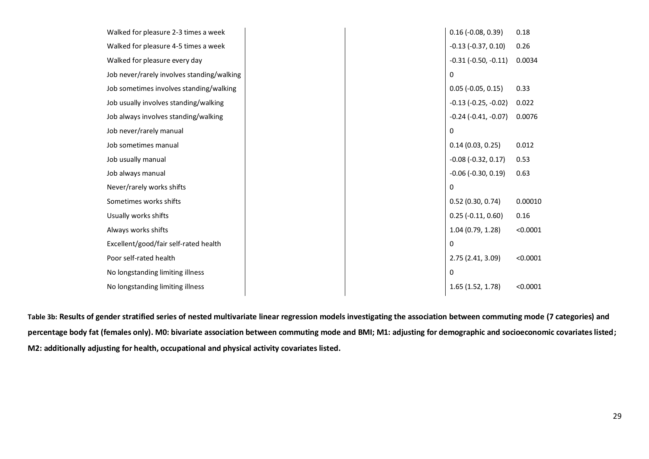| Walked for pleasure 2-3 times a week       |          | $0.16$ (-0.08, 0.39)         | 0.18     |
|--------------------------------------------|----------|------------------------------|----------|
| Walked for pleasure 4-5 times a week       |          | $-0.13$ $(-0.37, 0.10)$      | 0.26     |
| Walked for pleasure every day              |          | $-0.31$ $(-0.50, -0.11)$     | 0.0034   |
| Job never/rarely involves standing/walking | $\Omega$ |                              |          |
| Job sometimes involves standing/walking    |          | $0.05$ (-0.05, 0.15)         | 0.33     |
| Job usually involves standing/walking      |          | $-0.13$ $(-0.25, -0.02)$     | 0.022    |
| Job always involves standing/walking       |          | $-0.24$ $(-0.41, -0.07)$     | 0.0076   |
| Job never/rarely manual                    | $\Omega$ |                              |          |
| Job sometimes manual                       |          | 0.14(0.03, 0.25)             | 0.012    |
| Job usually manual                         |          | $-0.08$ $(-0.32, 0.17)$      | 0.53     |
| Job always manual                          |          | $-0.06$ ( $-0.30$ , $0.19$ ) | 0.63     |
| Never/rarely works shifts                  | 0        |                              |          |
| Sometimes works shifts                     |          | 0.52(0.30, 0.74)             | 0.00010  |
| Usually works shifts                       |          | $0.25$ (-0.11, 0.60)         | 0.16     |
| Always works shifts                        |          | 1.04 (0.79, 1.28)            | < 0.0001 |
| Excellent/good/fair self-rated health      | $\Omega$ |                              |          |
| Poor self-rated health                     |          | 2.75 (2.41, 3.09)            | < 0.0001 |
| No longstanding limiting illness           | $\Omega$ |                              |          |
| No longstanding limiting illness           |          | 1.65(1.52, 1.78)             | < 0.0001 |
|                                            |          |                              |          |

**Table 3b: Results of gender stratified series of nested multivariate linear regression models investigating the association between commuting mode (7 categories) and percentage body fat (females only). M0: bivariate association between commuting mode and BMI; M1: adjusting for demographic and socioeconomic covariates listed; M2: additionally adjusting for health, occupational and physical activity covariates listed.**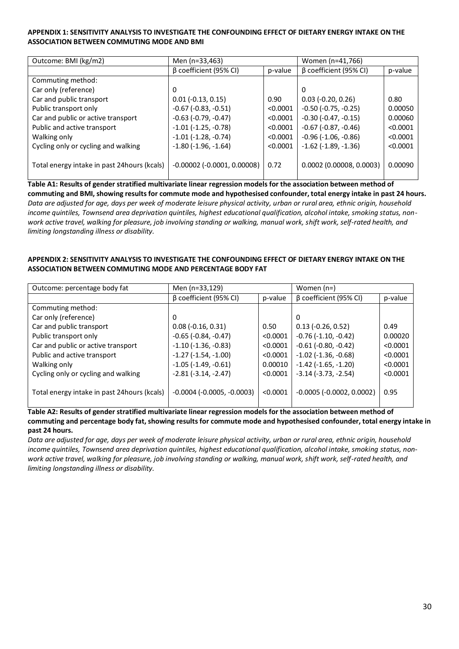#### **APPENDIX 1: SENSITIVITY ANALYSIS TO INVESTIGATE THE CONFOUNDING EFFECT OF DIETARY ENERGY INTAKE ON THE ASSOCIATION BETWEEN COMMUTING MODE AND BMI**

| Outcome: BMI (kg/m2)                        | Men (n=33,463)                       |          | Women (n=41,766)              |          |
|---------------------------------------------|--------------------------------------|----------|-------------------------------|----------|
|                                             | β coefficient (95% CI)               | p-value  | $\beta$ coefficient (95% CI)  | p-value  |
| Commuting method:                           |                                      |          |                               |          |
| Car only (reference)                        | 0                                    |          | 0                             |          |
| Car and public transport                    | $0.01$ ( $-0.13$ , $0.15$ )          | 0.90     | $0.03$ ( $-0.20$ , $0.26$ )   | 0.80     |
| Public transport only                       | $-0.67$ ( $-0.83$ , $-0.51$ )        | < 0.0001 | $-0.50$ ( $-0.75$ , $-0.25$ ) | 0.00050  |
| Car and public or active transport          | $-0.63$ ( $-0.79$ , $-0.47$ )        | < 0.0001 | $-0.30$ $(-0.47, -0.15)$      | 0.00060  |
| Public and active transport                 | $-1.01$ $(-1.25, -0.78)$             | < 0.0001 | $-0.67$ ( $-0.87$ , $-0.46$ ) | < 0.0001 |
| Walking only                                | $-1.01$ $(-1.28, -0.74)$             | < 0.0001 | $-0.96$ ( $-1.06$ , $-0.86$ ) | < 0.0001 |
| Cycling only or cycling and walking         | $-1.80$ ( $-1.96$ , $-1.64$ )        | < 0.0001 | $-1.62$ ( $-1.89$ , $-1.36$ ) | < 0.0001 |
|                                             |                                      |          |                               |          |
| Total energy intake in past 24hours (kcals) | $-0.00002$ ( $-0.0001$ , $0.00008$ ) | 0.72     | $0.0002$ (0.00008, 0.0003)    | 0.00090  |
|                                             |                                      |          |                               |          |

**Table A1: Results of gender stratified multivariate linear regression models for the association between method of commuting and BMI, showing results for commute mode and hypothesised confounder, total energy intake in past 24 hours.** *Data are adjusted for age, days per week of moderate leisure physical activity, urban or rural area, ethnic origin, household income quintiles, Townsend area deprivation quintiles, highest educational qualification, alcohol intake, smoking status, nonwork active travel, walking for pleasure, job involving standing or walking, manual work, shift work, self-rated health, and limiting longstanding illness or disability.*

#### **APPENDIX 2: SENSITIVITY ANALYSIS TO INVESTIGATE THE CONFOUNDING EFFECT OF DIETARY ENERGY INTAKE ON THE ASSOCIATION BETWEEN COMMUTING MODE AND PERCENTAGE BODY FAT**

| Outcome: percentage body fat                 | Men (n=33,129)                      |          | Women (n=)                    |          |
|----------------------------------------------|-------------------------------------|----------|-------------------------------|----------|
|                                              | $\beta$ coefficient (95% CI)        | p-value  | β coefficient (95% CI)        | p-value  |
| Commuting method:                            |                                     |          |                               |          |
| Car only (reference)                         | 0                                   |          | 0                             |          |
| Car and public transport                     | $0.08 (-0.16, 0.31)$                | 0.50     | $0.13$ (-0.26, 0.52)          | 0.49     |
| Public transport only                        | $-0.65$ ( $-0.84$ , $-0.47$ )       | < 0.0001 | $-0.76$ $(-1.10, -0.42)$      | 0.00020  |
| Car and public or active transport           | $-1.10$ ( $-1.36$ , $-0.83$ )       | < 0.0001 | $-0.61$ ( $-0.80$ , $-0.42$ ) | < 0.0001 |
| Public and active transport                  | $-1.27$ ( $-1.54$ , $-1.00$ )       | < 0.0001 | $-1.02$ ( $-1.36$ , $-0.68$ ) | < 0.0001 |
| Walking only                                 | $-1.05$ ( $-1.49$ , $-0.61$ )       | 0.00010  | $-1.42$ ( $-1.65$ , $-1.20$ ) | < 0.0001 |
| Cycling only or cycling and walking          | $-2.81(-3.14, -2.47)$               | < 0.0001 | $-3.14$ ( $-3.73$ , $-2.54$ ) | < 0.0001 |
| Total energy intake in past 24 hours (kcals) | $-0.0004$ ( $-0.0005$ , $-0.0003$ ) | < 0.0001 | $-0.0005$ $(-0.0002, 0.0002)$ | 0.95     |

**Table A2: Results of gender stratified multivariate linear regression models for the association between method of commuting and percentage body fat, showing results for commute mode and hypothesised confounder, total energy intake in past 24 hours.**

*Data are adjusted for age, days per week of moderate leisure physical activity, urban or rural area, ethnic origin, household income quintiles, Townsend area deprivation quintiles, highest educational qualification, alcohol intake, smoking status, nonwork active travel, walking for pleasure, job involving standing or walking, manual work, shift work, self-rated health, and limiting longstanding illness or disability.*